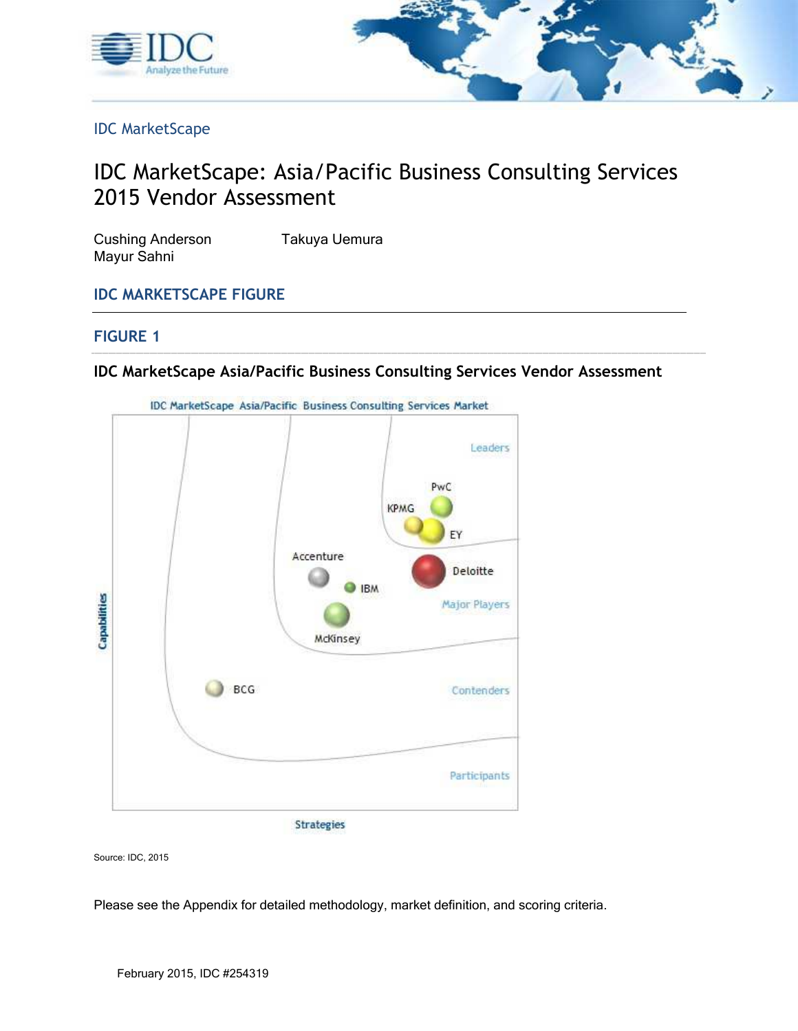



IDC MarketScape

## IDC MarketScape: Asia/Pacific Business Consulting Services 2015 Vendor Assessment

| <b>Cushing Anderson</b> | Takuya Uemura |
|-------------------------|---------------|
| Mayur Sahni             |               |

#### **IDC MARKETSCAPE FIGURE**

#### **FIGURE 1**

#### **IDC MarketScape Asia/Pacific Business Consulting Services Vendor Assessment**



Source: IDC, 2015

Please see the Appendix for detailed methodology, market definition, and scoring criteria.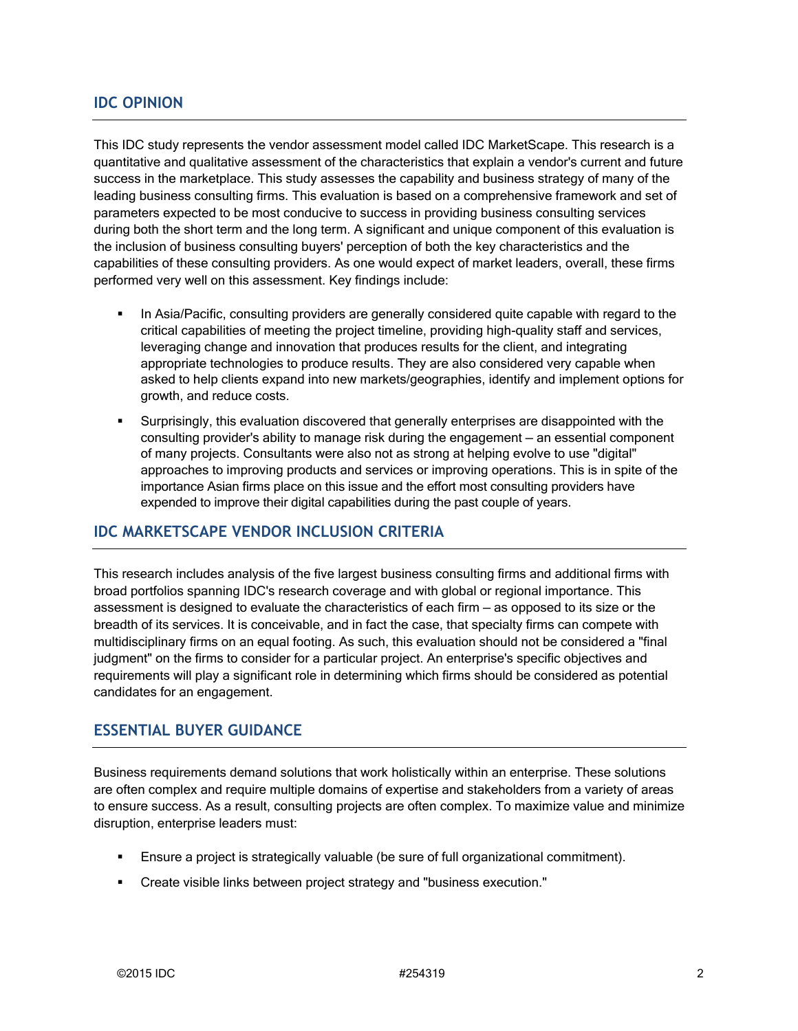#### **IDC OPINION**

This IDC study represents the vendor assessment model called IDC MarketScape. This research is a quantitative and qualitative assessment of the characteristics that explain a vendor's current and future success in the marketplace. This study assesses the capability and business strategy of many of the leading business consulting firms. This evaluation is based on a comprehensive framework and set of parameters expected to be most conducive to success in providing business consulting services during both the short term and the long term. A significant and unique component of this evaluation is the inclusion of business consulting buyers' perception of both the key characteristics and the capabilities of these consulting providers. As one would expect of market leaders, overall, these firms performed very well on this assessment. Key findings include:

- In Asia/Pacific, consulting providers are generally considered quite capable with regard to the critical capabilities of meeting the project timeline, providing high-quality staff and services, leveraging change and innovation that produces results for the client, and integrating appropriate technologies to produce results. They are also considered very capable when asked to help clients expand into new markets/geographies, identify and implement options for growth, and reduce costs.
- Surprisingly, this evaluation discovered that generally enterprises are disappointed with the consulting provider's ability to manage risk during the engagement — an essential component of many projects. Consultants were also not as strong at helping evolve to use "digital" approaches to improving products and services or improving operations. This is in spite of the importance Asian firms place on this issue and the effort most consulting providers have expended to improve their digital capabilities during the past couple of years.

#### **IDC MARKETSCAPE VENDOR INCLUSION CRITERIA**

This research includes analysis of the five largest business consulting firms and additional firms with broad portfolios spanning IDC's research coverage and with global or regional importance. This assessment is designed to evaluate the characteristics of each firm — as opposed to its size or the breadth of its services. It is conceivable, and in fact the case, that specialty firms can compete with multidisciplinary firms on an equal footing. As such, this evaluation should not be considered a "final judgment" on the firms to consider for a particular project. An enterprise's specific objectives and requirements will play a significant role in determining which firms should be considered as potential candidates for an engagement.

#### **ESSENTIAL BUYER GUIDANCE**

Business requirements demand solutions that work holistically within an enterprise. These solutions are often complex and require multiple domains of expertise and stakeholders from a variety of areas to ensure success. As a result, consulting projects are often complex. To maximize value and minimize disruption, enterprise leaders must:

- Ensure a project is strategically valuable (be sure of full organizational commitment).
- Create visible links between project strategy and "business execution."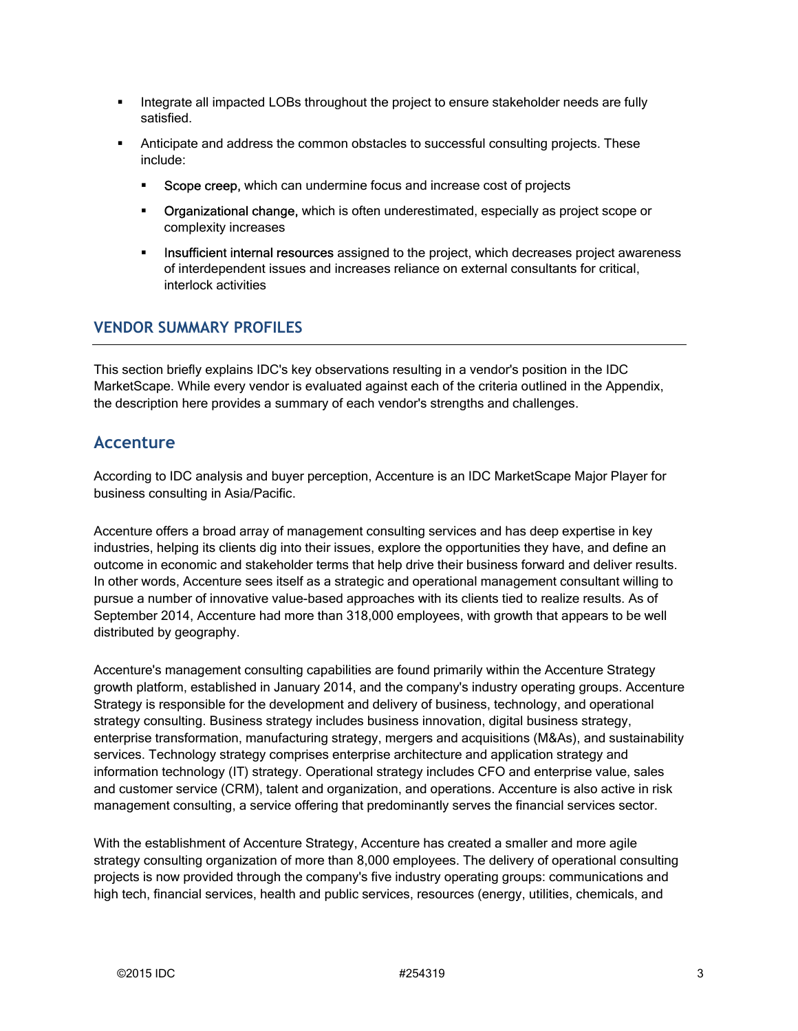- Integrate all impacted LOBs throughout the project to ensure stakeholder needs are fully satisfied.
- Anticipate and address the common obstacles to successful consulting projects. These include:
	- **Scope creep,** which can undermine focus and increase cost of projects
	- **Organizational change,** which is often underestimated, especially as project scope or complexity increases
	- **Insufficient internal resources** assigned to the project, which decreases project awareness of interdependent issues and increases reliance on external consultants for critical, interlock activities

#### **VENDOR SUMMARY PROFILES**

This section briefly explains IDC's key observations resulting in a vendor's position in the IDC MarketScape. While every vendor is evaluated against each of the criteria outlined in the Appendix, the description here provides a summary of each vendor's strengths and challenges.

#### **Accenture**

According to IDC analysis and buyer perception, Accenture is an IDC MarketScape Major Player for business consulting in Asia/Pacific.

Accenture offers a broad array of management consulting services and has deep expertise in key industries, helping its clients dig into their issues, explore the opportunities they have, and define an outcome in economic and stakeholder terms that help drive their business forward and deliver results. In other words, Accenture sees itself as a strategic and operational management consultant willing to pursue a number of innovative value-based approaches with its clients tied to realize results. As of September 2014, Accenture had more than 318,000 employees, with growth that appears to be well distributed by geography.

Accenture's management consulting capabilities are found primarily within the Accenture Strategy growth platform, established in January 2014, and the company's industry operating groups. Accenture Strategy is responsible for the development and delivery of business, technology, and operational strategy consulting. Business strategy includes business innovation, digital business strategy, enterprise transformation, manufacturing strategy, mergers and acquisitions (M&As), and sustainability services. Technology strategy comprises enterprise architecture and application strategy and information technology (IT) strategy. Operational strategy includes CFO and enterprise value, sales and customer service (CRM), talent and organization, and operations. Accenture is also active in risk management consulting, a service offering that predominantly serves the financial services sector.

With the establishment of Accenture Strategy, Accenture has created a smaller and more agile strategy consulting organization of more than 8,000 employees. The delivery of operational consulting projects is now provided through the company's five industry operating groups: communications and high tech, financial services, health and public services, resources (energy, utilities, chemicals, and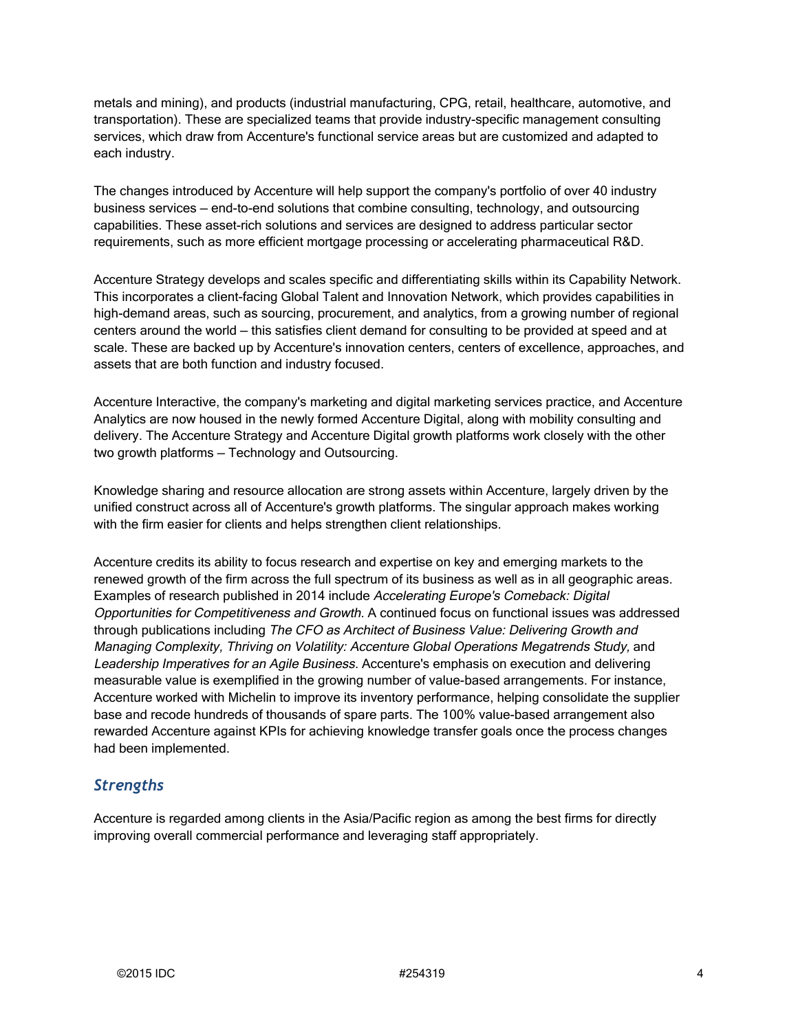metals and mining), and products (industrial manufacturing, CPG, retail, healthcare, automotive, and transportation). These are specialized teams that provide industry-specific management consulting services, which draw from Accenture's functional service areas but are customized and adapted to each industry.

The changes introduced by Accenture will help support the company's portfolio of over 40 industry business services — end-to-end solutions that combine consulting, technology, and outsourcing capabilities. These asset-rich solutions and services are designed to address particular sector requirements, such as more efficient mortgage processing or accelerating pharmaceutical R&D.

Accenture Strategy develops and scales specific and differentiating skills within its Capability Network. This incorporates a client-facing Global Talent and Innovation Network, which provides capabilities in high-demand areas, such as sourcing, procurement, and analytics, from a growing number of regional centers around the world — this satisfies client demand for consulting to be provided at speed and at scale. These are backed up by Accenture's innovation centers, centers of excellence, approaches, and assets that are both function and industry focused.

Accenture Interactive, the company's marketing and digital marketing services practice, and Accenture Analytics are now housed in the newly formed Accenture Digital, along with mobility consulting and delivery. The Accenture Strategy and Accenture Digital growth platforms work closely with the other two growth platforms — Technology and Outsourcing.

Knowledge sharing and resource allocation are strong assets within Accenture, largely driven by the unified construct across all of Accenture's growth platforms. The singular approach makes working with the firm easier for clients and helps strengthen client relationships.

Accenture credits its ability to focus research and expertise on key and emerging markets to the renewed growth of the firm across the full spectrum of its business as well as in all geographic areas. Examples of research published in 2014 include Accelerating Europe's Comeback: Digital Opportunities for Competitiveness and Growth. A continued focus on functional issues was addressed through publications including The CFO as Architect of Business Value: Delivering Growth and Managing Complexity, Thriving on Volatility: Accenture Global Operations Megatrends Study, and Leadership Imperatives for an Agile Business. Accenture's emphasis on execution and delivering measurable value is exemplified in the growing number of value-based arrangements. For instance, Accenture worked with Michelin to improve its inventory performance, helping consolidate the supplier base and recode hundreds of thousands of spare parts. The 100% value-based arrangement also rewarded Accenture against KPIs for achieving knowledge transfer goals once the process changes had been implemented.

#### *Strengths*

Accenture is regarded among clients in the Asia/Pacific region as among the best firms for directly improving overall commercial performance and leveraging staff appropriately.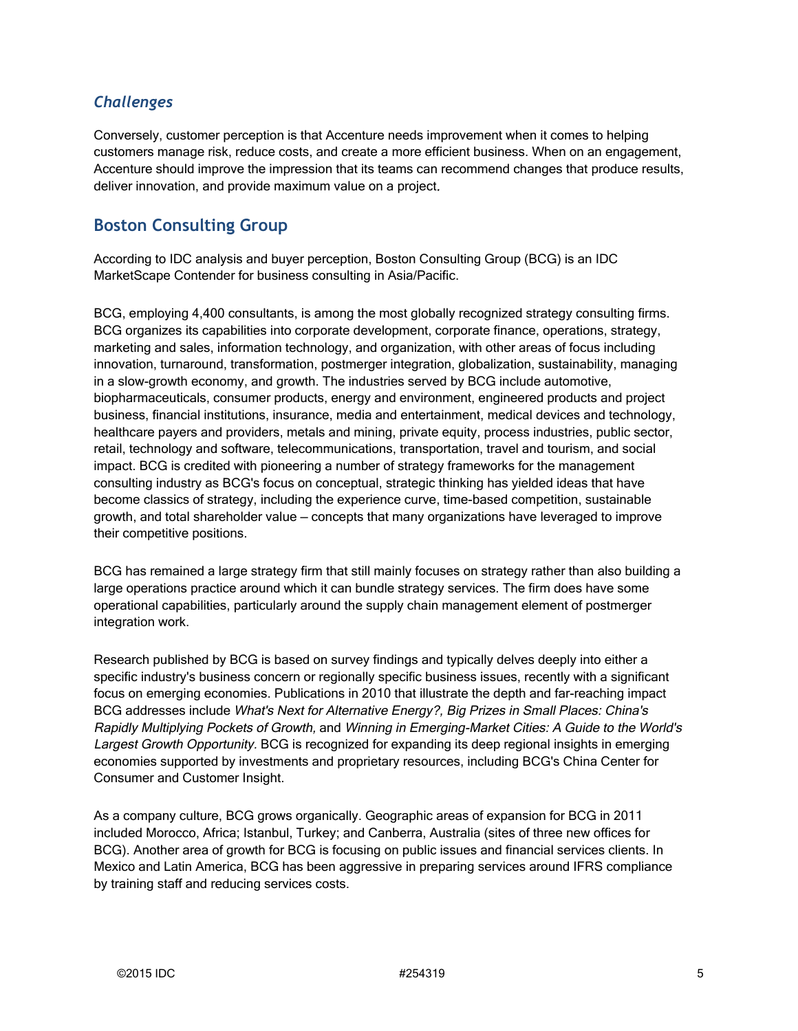#### *Challenges*

Conversely, customer perception is that Accenture needs improvement when it comes to helping customers manage risk, reduce costs, and create a more efficient business. When on an engagement, Accenture should improve the impression that its teams can recommend changes that produce results, deliver innovation, and provide maximum value on a project.

## **Boston Consulting Group**

According to IDC analysis and buyer perception, Boston Consulting Group (BCG) is an IDC MarketScape Contender for business consulting in Asia/Pacific.

BCG, employing 4,400 consultants, is among the most globally recognized strategy consulting firms. BCG organizes its capabilities into corporate development, corporate finance, operations, strategy, marketing and sales, information technology, and organization, with other areas of focus including innovation, turnaround, transformation, postmerger integration, globalization, sustainability, managing in a slow-growth economy, and growth. The industries served by BCG include automotive, biopharmaceuticals, consumer products, energy and environment, engineered products and project business, financial institutions, insurance, media and entertainment, medical devices and technology, healthcare payers and providers, metals and mining, private equity, process industries, public sector, retail, technology and software, telecommunications, transportation, travel and tourism, and social impact. BCG is credited with pioneering a number of strategy frameworks for the management consulting industry as BCG's focus on conceptual, strategic thinking has yielded ideas that have become classics of strategy, including the experience curve, time-based competition, sustainable growth, and total shareholder value — concepts that many organizations have leveraged to improve their competitive positions.

BCG has remained a large strategy firm that still mainly focuses on strategy rather than also building a large operations practice around which it can bundle strategy services. The firm does have some operational capabilities, particularly around the supply chain management element of postmerger integration work.

Research published by BCG is based on survey findings and typically delves deeply into either a specific industry's business concern or regionally specific business issues, recently with a significant focus on emerging economies. Publications in 2010 that illustrate the depth and far-reaching impact BCG addresses include What's Next for Alternative Energy?, Big Prizes in Small Places: China's Rapidly Multiplying Pockets of Growth, and Winning in Emerging-Market Cities: A Guide to the World's Largest Growth Opportunity. BCG is recognized for expanding its deep regional insights in emerging economies supported by investments and proprietary resources, including BCG's China Center for Consumer and Customer Insight.

As a company culture, BCG grows organically. Geographic areas of expansion for BCG in 2011 included Morocco, Africa; Istanbul, Turkey; and Canberra, Australia (sites of three new offices for BCG). Another area of growth for BCG is focusing on public issues and financial services clients. In Mexico and Latin America, BCG has been aggressive in preparing services around IFRS compliance by training staff and reducing services costs.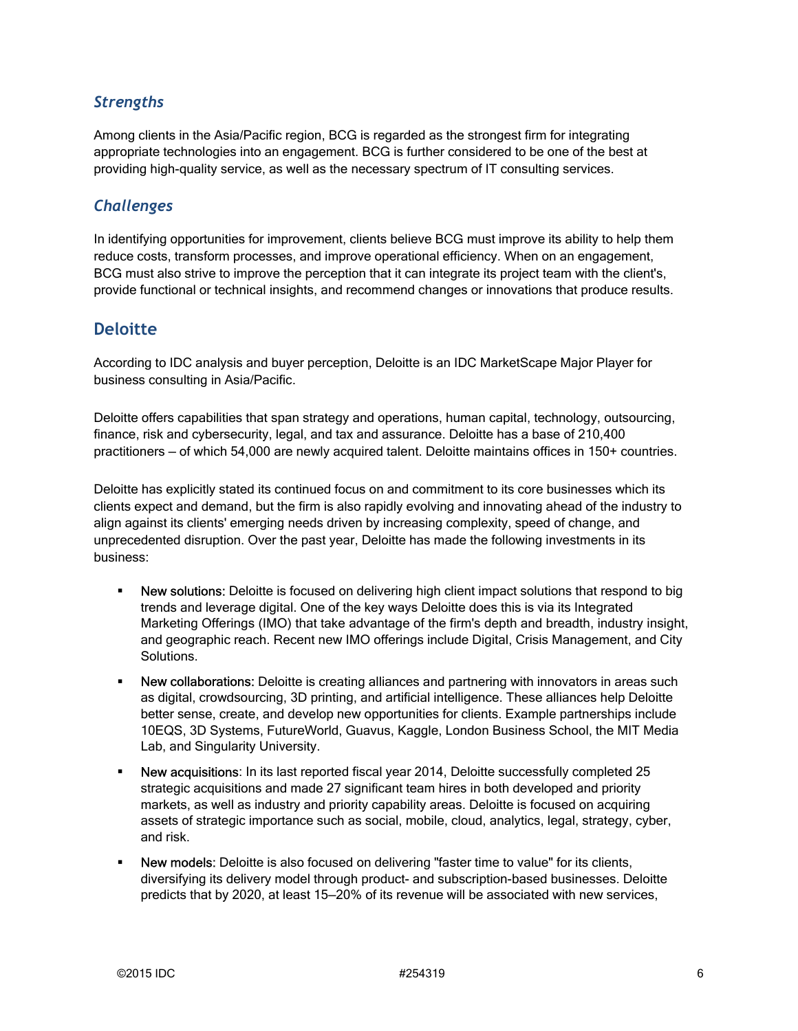### *Strengths*

Among clients in the Asia/Pacific region, BCG is regarded as the strongest firm for integrating appropriate technologies into an engagement. BCG is further considered to be one of the best at providing high-quality service, as well as the necessary spectrum of IT consulting services.

#### *Challenges*

In identifying opportunities for improvement, clients believe BCG must improve its ability to help them reduce costs, transform processes, and improve operational efficiency. When on an engagement, BCG must also strive to improve the perception that it can integrate its project team with the client's, provide functional or technical insights, and recommend changes or innovations that produce results.

#### **Deloitte**

According to IDC analysis and buyer perception, Deloitte is an IDC MarketScape Major Player for business consulting in Asia/Pacific.

Deloitte offers capabilities that span strategy and operations, human capital, technology, outsourcing, finance, risk and cybersecurity, legal, and tax and assurance. Deloitte has a base of 210,400 practitioners — of which 54,000 are newly acquired talent. Deloitte maintains offices in 150+ countries.

Deloitte has explicitly stated its continued focus on and commitment to its core businesses which its clients expect and demand, but the firm is also rapidly evolving and innovating ahead of the industry to align against its clients' emerging needs driven by increasing complexity, speed of change, and unprecedented disruption. Over the past year, Deloitte has made the following investments in its business:

- New solutions: Deloitte is focused on delivering high client impact solutions that respond to big trends and leverage digital. One of the key ways Deloitte does this is via its Integrated Marketing Offerings (IMO) that take advantage of the firm's depth and breadth, industry insight, and geographic reach. Recent new IMO offerings include Digital, Crisis Management, and City Solutions.
- **New collaborations:** Deloitte is creating alliances and partnering with innovators in areas such as digital, crowdsourcing, 3D printing, and artificial intelligence. These alliances help Deloitte better sense, create, and develop new opportunities for clients. Example partnerships include 10EQS, 3D Systems, FutureWorld, Guavus, Kaggle, London Business School, the MIT Media Lab, and Singularity University.
- New acquisitions: In its last reported fiscal year 2014, Deloitte successfully completed 25 strategic acquisitions and made 27 significant team hires in both developed and priority markets, as well as industry and priority capability areas. Deloitte is focused on acquiring assets of strategic importance such as social, mobile, cloud, analytics, legal, strategy, cyber, and risk.
- New models: Deloitte is also focused on delivering "faster time to value" for its clients, diversifying its delivery model through product- and subscription-based businesses. Deloitte predicts that by 2020, at least 15—20% of its revenue will be associated with new services,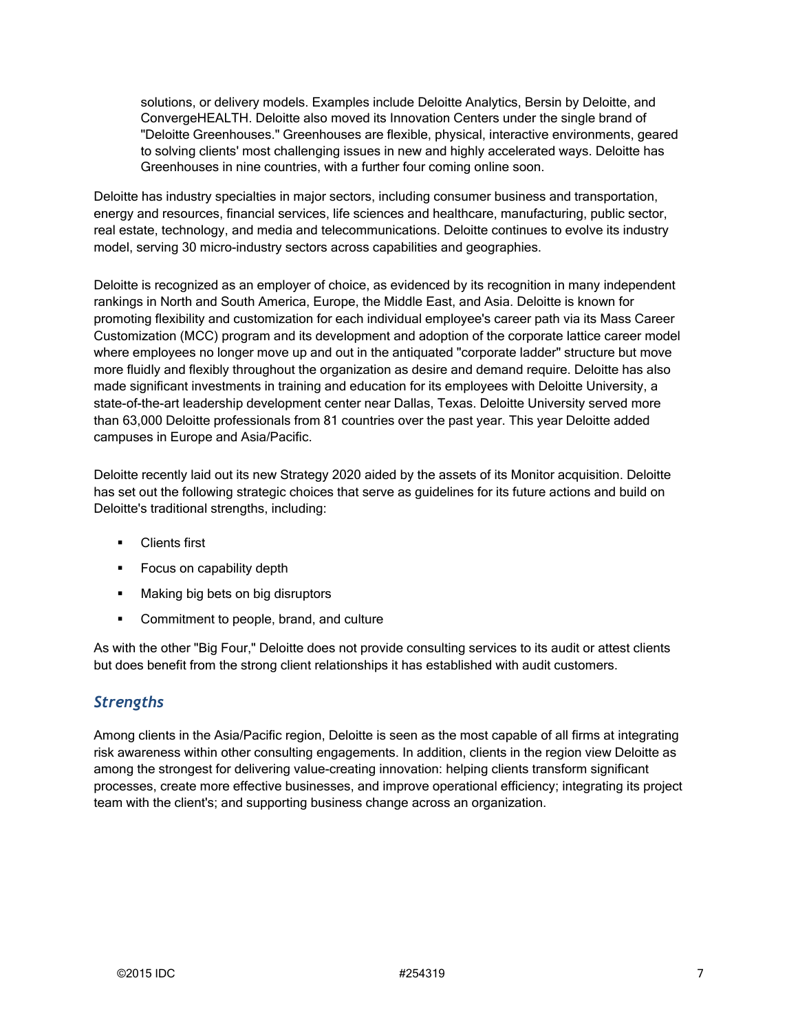solutions, or delivery models. Examples include Deloitte Analytics, Bersin by Deloitte, and ConvergeHEALTH. Deloitte also moved its Innovation Centers under the single brand of "Deloitte Greenhouses." Greenhouses are flexible, physical, interactive environments, geared to solving clients' most challenging issues in new and highly accelerated ways. Deloitte has Greenhouses in nine countries, with a further four coming online soon.

Deloitte has industry specialties in major sectors, including consumer business and transportation, energy and resources, financial services, life sciences and healthcare, manufacturing, public sector, real estate, technology, and media and telecommunications. Deloitte continues to evolve its industry model, serving 30 micro-industry sectors across capabilities and geographies.

Deloitte is recognized as an employer of choice, as evidenced by its recognition in many independent rankings in North and South America, Europe, the Middle East, and Asia. Deloitte is known for promoting flexibility and customization for each individual employee's career path via its Mass Career Customization (MCC) program and its development and adoption of the corporate lattice career model where employees no longer move up and out in the antiquated "corporate ladder" structure but move more fluidly and flexibly throughout the organization as desire and demand require. Deloitte has also made significant investments in training and education for its employees with Deloitte University, a state-of-the-art leadership development center near Dallas, Texas. Deloitte University served more than 63,000 Deloitte professionals from 81 countries over the past year. This year Deloitte added campuses in Europe and Asia/Pacific.

Deloitte recently laid out its new Strategy 2020 aided by the assets of its Monitor acquisition. Deloitte has set out the following strategic choices that serve as guidelines for its future actions and build on Deloitte's traditional strengths, including:

- **Clients first**
- **Focus on capability depth**
- **Making big bets on big disruptors**
- **•** Commitment to people, brand, and culture

As with the other "Big Four," Deloitte does not provide consulting services to its audit or attest clients but does benefit from the strong client relationships it has established with audit customers.

### *Strengths*

Among clients in the Asia/Pacific region, Deloitte is seen as the most capable of all firms at integrating risk awareness within other consulting engagements. In addition, clients in the region view Deloitte as among the strongest for delivering value-creating innovation: helping clients transform significant processes, create more effective businesses, and improve operational efficiency; integrating its project team with the client's; and supporting business change across an organization.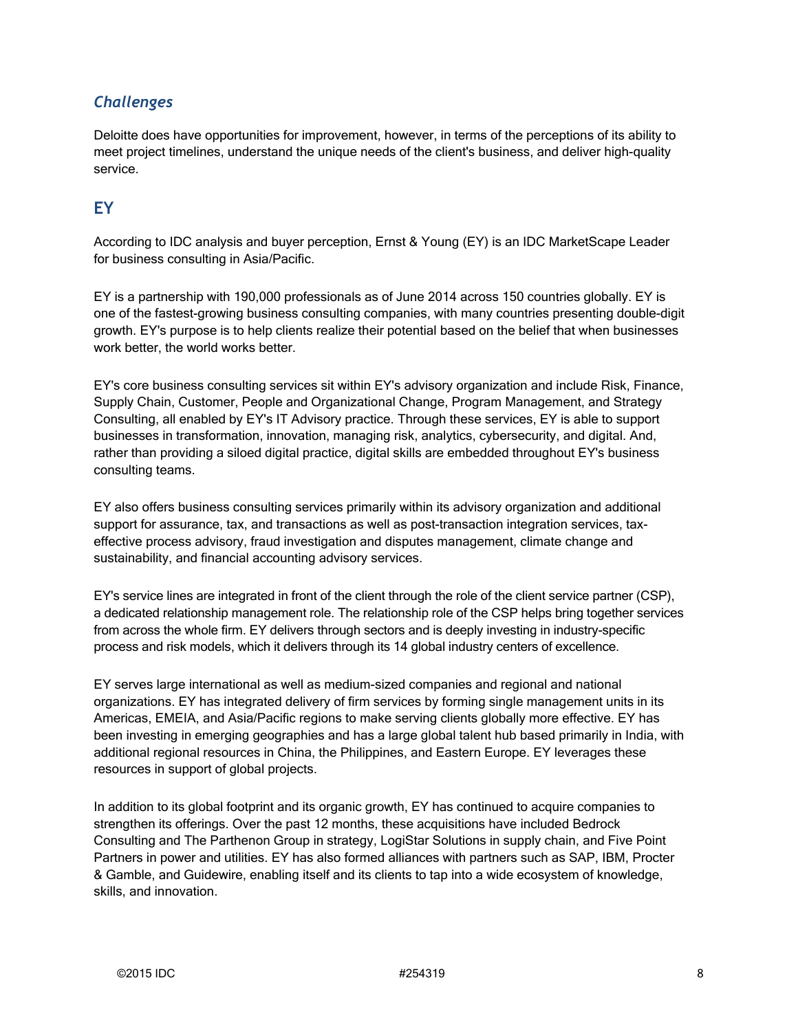### *Challenges*

Deloitte does have opportunities for improvement, however, in terms of the perceptions of its ability to meet project timelines, understand the unique needs of the client's business, and deliver high-quality service.

## **EY**

According to IDC analysis and buyer perception, Ernst & Young (EY) is an IDC MarketScape Leader for business consulting in Asia/Pacific.

EY is a partnership with 190,000 professionals as of June 2014 across 150 countries globally. EY is one of the fastest-growing business consulting companies, with many countries presenting double-digit growth. EY's purpose is to help clients realize their potential based on the belief that when businesses work better, the world works better.

EY's core business consulting services sit within EY's advisory organization and include Risk, Finance, Supply Chain, Customer, People and Organizational Change, Program Management, and Strategy Consulting, all enabled by EY's IT Advisory practice. Through these services, EY is able to support businesses in transformation, innovation, managing risk, analytics, cybersecurity, and digital. And, rather than providing a siloed digital practice, digital skills are embedded throughout EY's business consulting teams.

EY also offers business consulting services primarily within its advisory organization and additional support for assurance, tax, and transactions as well as post-transaction integration services, taxeffective process advisory, fraud investigation and disputes management, climate change and sustainability, and financial accounting advisory services.

EY's service lines are integrated in front of the client through the role of the client service partner (CSP), a dedicated relationship management role. The relationship role of the CSP helps bring together services from across the whole firm. EY delivers through sectors and is deeply investing in industry-specific process and risk models, which it delivers through its 14 global industry centers of excellence.

EY serves large international as well as medium-sized companies and regional and national organizations. EY has integrated delivery of firm services by forming single management units in its Americas, EMEIA, and Asia/Pacific regions to make serving clients globally more effective. EY has been investing in emerging geographies and has a large global talent hub based primarily in India, with additional regional resources in China, the Philippines, and Eastern Europe. EY leverages these resources in support of global projects.

In addition to its global footprint and its organic growth, EY has continued to acquire companies to strengthen its offerings. Over the past 12 months, these acquisitions have included Bedrock Consulting and The Parthenon Group in strategy, LogiStar Solutions in supply chain, and Five Point Partners in power and utilities. EY has also formed alliances with partners such as SAP, IBM, Procter & Gamble, and Guidewire, enabling itself and its clients to tap into a wide ecosystem of knowledge, skills, and innovation.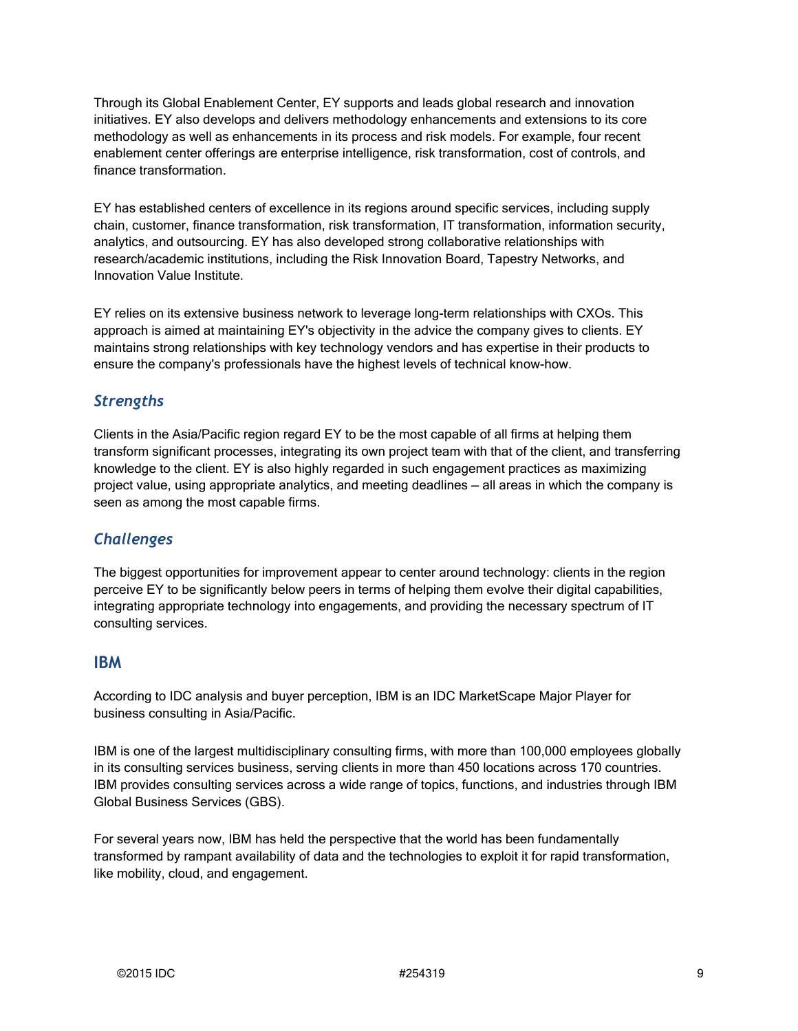Through its Global Enablement Center, EY supports and leads global research and innovation initiatives. EY also develops and delivers methodology enhancements and extensions to its core methodology as well as enhancements in its process and risk models. For example, four recent enablement center offerings are enterprise intelligence, risk transformation, cost of controls, and finance transformation.

EY has established centers of excellence in its regions around specific services, including supply chain, customer, finance transformation, risk transformation, IT transformation, information security, analytics, and outsourcing. EY has also developed strong collaborative relationships with research/academic institutions, including the Risk Innovation Board, Tapestry Networks, and Innovation Value Institute.

EY relies on its extensive business network to leverage long-term relationships with CXOs. This approach is aimed at maintaining EY's objectivity in the advice the company gives to clients. EY maintains strong relationships with key technology vendors and has expertise in their products to ensure the company's professionals have the highest levels of technical know-how.

#### *Strengths*

Clients in the Asia/Pacific region regard EY to be the most capable of all firms at helping them transform significant processes, integrating its own project team with that of the client, and transferring knowledge to the client. EY is also highly regarded in such engagement practices as maximizing project value, using appropriate analytics, and meeting deadlines — all areas in which the company is seen as among the most capable firms.

#### *Challenges*

The biggest opportunities for improvement appear to center around technology: clients in the region perceive EY to be significantly below peers in terms of helping them evolve their digital capabilities, integrating appropriate technology into engagements, and providing the necessary spectrum of IT consulting services.

#### **IBM**

According to IDC analysis and buyer perception, IBM is an IDC MarketScape Major Player for business consulting in Asia/Pacific.

IBM is one of the largest multidisciplinary consulting firms, with more than 100,000 employees globally in its consulting services business, serving clients in more than 450 locations across 170 countries. IBM provides consulting services across a wide range of topics, functions, and industries through IBM Global Business Services (GBS).

For several years now, IBM has held the perspective that the world has been fundamentally transformed by rampant availability of data and the technologies to exploit it for rapid transformation, like mobility, cloud, and engagement.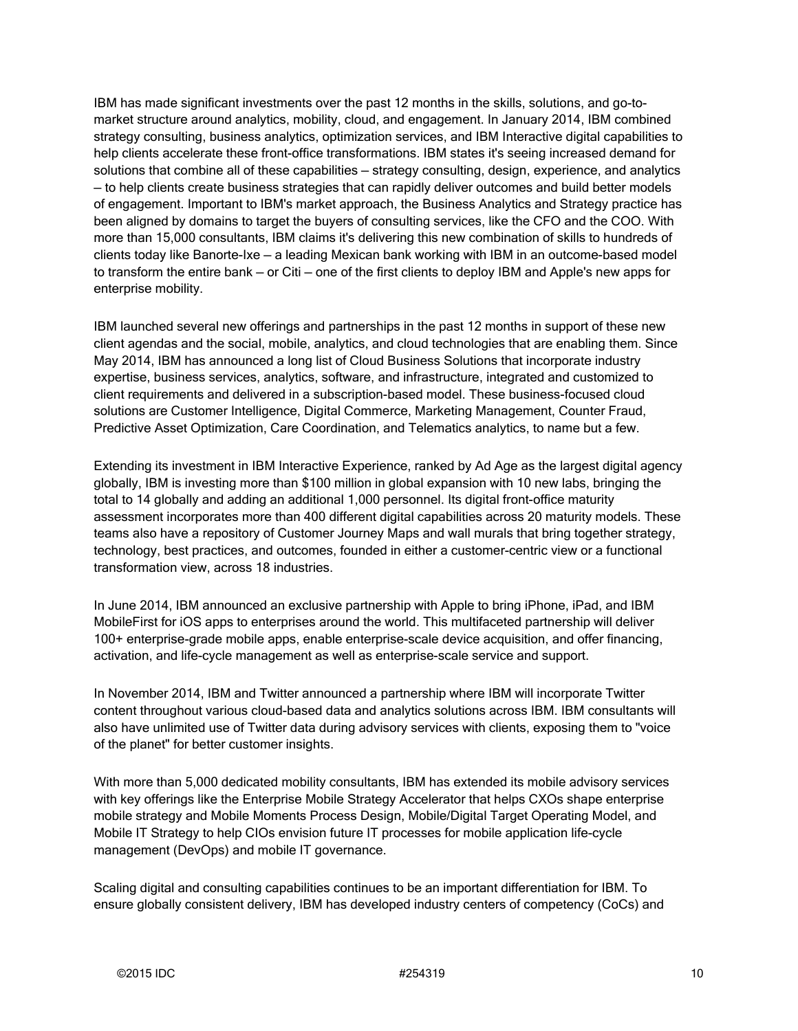IBM has made significant investments over the past 12 months in the skills, solutions, and go-tomarket structure around analytics, mobility, cloud, and engagement. In January 2014, IBM combined strategy consulting, business analytics, optimization services, and IBM Interactive digital capabilities to help clients accelerate these front-office transformations. IBM states it's seeing increased demand for solutions that combine all of these capabilities — strategy consulting, design, experience, and analytics — to help clients create business strategies that can rapidly deliver outcomes and build better models of engagement. Important to IBM's market approach, the Business Analytics and Strategy practice has been aligned by domains to target the buyers of consulting services, like the CFO and the COO. With more than 15,000 consultants, IBM claims it's delivering this new combination of skills to hundreds of clients today like Banorte-Ixe — a leading Mexican bank working with IBM in an outcome-based model to transform the entire bank — or Citi — one of the first clients to deploy IBM and Apple's new apps for enterprise mobility.

IBM launched several new offerings and partnerships in the past 12 months in support of these new client agendas and the social, mobile, analytics, and cloud technologies that are enabling them. Since May 2014, IBM has announced a long list of Cloud Business Solutions that incorporate industry expertise, business services, analytics, software, and infrastructure, integrated and customized to client requirements and delivered in a subscription-based model. These business-focused cloud solutions are Customer Intelligence, Digital Commerce, Marketing Management, Counter Fraud, Predictive Asset Optimization, Care Coordination, and Telematics analytics, to name but a few.

Extending its investment in IBM Interactive Experience, ranked by Ad Age as the largest digital agency globally, IBM is investing more than \$100 million in global expansion with 10 new labs, bringing the total to 14 globally and adding an additional 1,000 personnel. Its digital front-office maturity assessment incorporates more than 400 different digital capabilities across 20 maturity models. These teams also have a repository of Customer Journey Maps and wall murals that bring together strategy, technology, best practices, and outcomes, founded in either a customer-centric view or a functional transformation view, across 18 industries.

In June 2014, IBM announced an exclusive partnership with Apple to bring iPhone, iPad, and IBM MobileFirst for iOS apps to enterprises around the world. This multifaceted partnership will deliver 100+ enterprise-grade mobile apps, enable enterprise-scale device acquisition, and offer financing, activation, and life-cycle management as well as enterprise-scale service and support.

In November 2014, IBM and Twitter announced a partnership where IBM will incorporate Twitter content throughout various cloud-based data and analytics solutions across IBM. IBM consultants will also have unlimited use of Twitter data during advisory services with clients, exposing them to "voice of the planet" for better customer insights.

With more than 5,000 dedicated mobility consultants, IBM has extended its mobile advisory services with key offerings like the Enterprise Mobile Strategy Accelerator that helps CXOs shape enterprise mobile strategy and Mobile Moments Process Design, Mobile/Digital Target Operating Model, and Mobile IT Strategy to help CIOs envision future IT processes for mobile application life-cycle management (DevOps) and mobile IT governance.

Scaling digital and consulting capabilities continues to be an important differentiation for IBM. To ensure globally consistent delivery, IBM has developed industry centers of competency (CoCs) and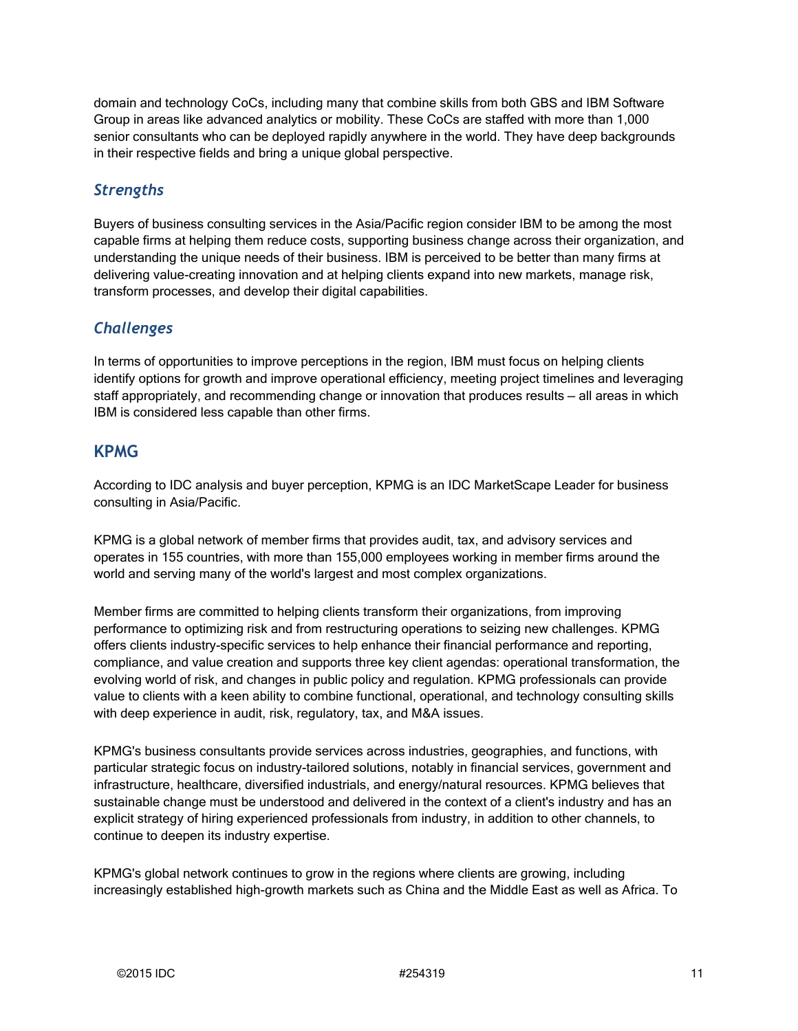domain and technology CoCs, including many that combine skills from both GBS and IBM Software Group in areas like advanced analytics or mobility. These CoCs are staffed with more than 1,000 senior consultants who can be deployed rapidly anywhere in the world. They have deep backgrounds in their respective fields and bring a unique global perspective.

#### *Strengths*

Buyers of business consulting services in the Asia/Pacific region consider IBM to be among the most capable firms at helping them reduce costs, supporting business change across their organization, and understanding the unique needs of their business. IBM is perceived to be better than many firms at delivering value-creating innovation and at helping clients expand into new markets, manage risk, transform processes, and develop their digital capabilities.

#### *Challenges*

In terms of opportunities to improve perceptions in the region, IBM must focus on helping clients identify options for growth and improve operational efficiency, meeting project timelines and leveraging staff appropriately, and recommending change or innovation that produces results — all areas in which IBM is considered less capable than other firms.

#### **KPMG**

According to IDC analysis and buyer perception, KPMG is an IDC MarketScape Leader for business consulting in Asia/Pacific.

KPMG is a global network of member firms that provides audit, tax, and advisory services and operates in 155 countries, with more than 155,000 employees working in member firms around the world and serving many of the world's largest and most complex organizations.

Member firms are committed to helping clients transform their organizations, from improving performance to optimizing risk and from restructuring operations to seizing new challenges. KPMG offers clients industry-specific services to help enhance their financial performance and reporting, compliance, and value creation and supports three key client agendas: operational transformation, the evolving world of risk, and changes in public policy and regulation. KPMG professionals can provide value to clients with a keen ability to combine functional, operational, and technology consulting skills with deep experience in audit, risk, regulatory, tax, and M&A issues.

KPMG's business consultants provide services across industries, geographies, and functions, with particular strategic focus on industry-tailored solutions, notably in financial services, government and infrastructure, healthcare, diversified industrials, and energy/natural resources. KPMG believes that sustainable change must be understood and delivered in the context of a client's industry and has an explicit strategy of hiring experienced professionals from industry, in addition to other channels, to continue to deepen its industry expertise.

KPMG's global network continues to grow in the regions where clients are growing, including increasingly established high-growth markets such as China and the Middle East as well as Africa. To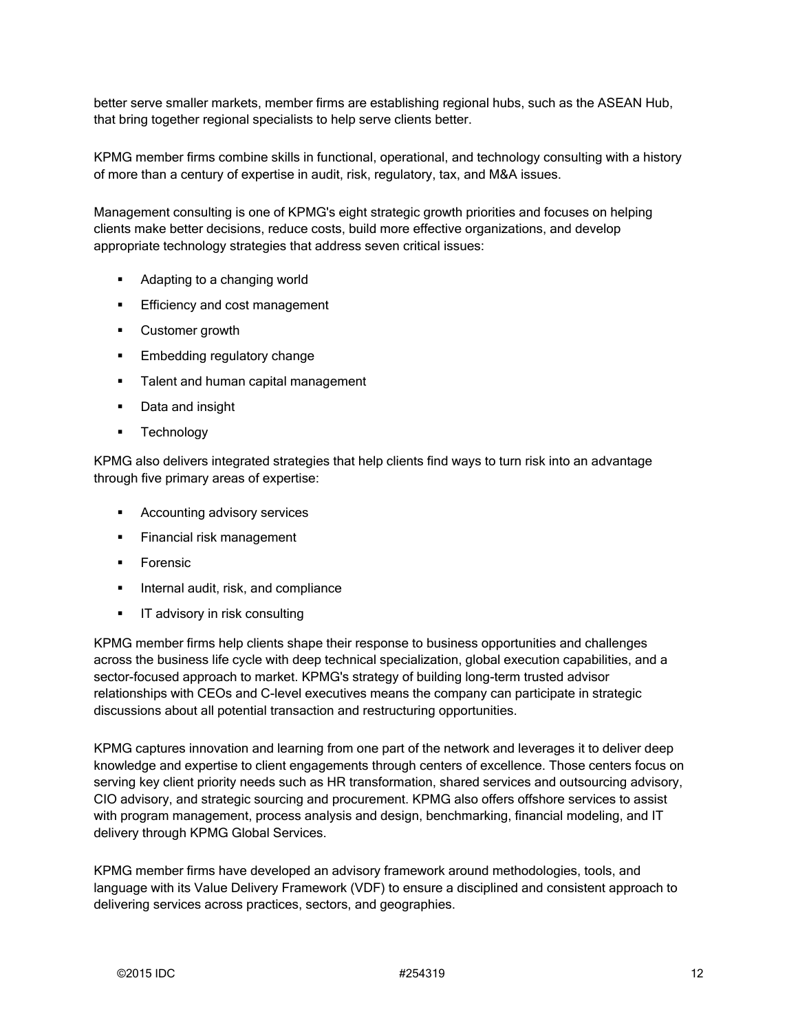better serve smaller markets, member firms are establishing regional hubs, such as the ASEAN Hub, that bring together regional specialists to help serve clients better.

KPMG member firms combine skills in functional, operational, and technology consulting with a history of more than a century of expertise in audit, risk, regulatory, tax, and M&A issues.

Management consulting is one of KPMG's eight strategic growth priorities and focuses on helping clients make better decisions, reduce costs, build more effective organizations, and develop appropriate technology strategies that address seven critical issues:

- **Adapting to a changing world**
- **Efficiency and cost management**
- Customer growth
- **Embedding regulatory change**
- **Talent and human capital management**
- **Data and insight**
- **Technology**

KPMG also delivers integrated strategies that help clients find ways to turn risk into an advantage through five primary areas of expertise:

- **Accounting advisory services**
- **Financial risk management**
- **Forensic**
- **Internal audit, risk, and compliance**
- **IF advisory in risk consulting**

KPMG member firms help clients shape their response to business opportunities and challenges across the business life cycle with deep technical specialization, global execution capabilities, and a sector-focused approach to market. KPMG's strategy of building long-term trusted advisor relationships with CEOs and C-level executives means the company can participate in strategic discussions about all potential transaction and restructuring opportunities.

KPMG captures innovation and learning from one part of the network and leverages it to deliver deep knowledge and expertise to client engagements through centers of excellence. Those centers focus on serving key client priority needs such as HR transformation, shared services and outsourcing advisory, CIO advisory, and strategic sourcing and procurement. KPMG also offers offshore services to assist with program management, process analysis and design, benchmarking, financial modeling, and IT delivery through KPMG Global Services.

KPMG member firms have developed an advisory framework around methodologies, tools, and language with its Value Delivery Framework (VDF) to ensure a disciplined and consistent approach to delivering services across practices, sectors, and geographies.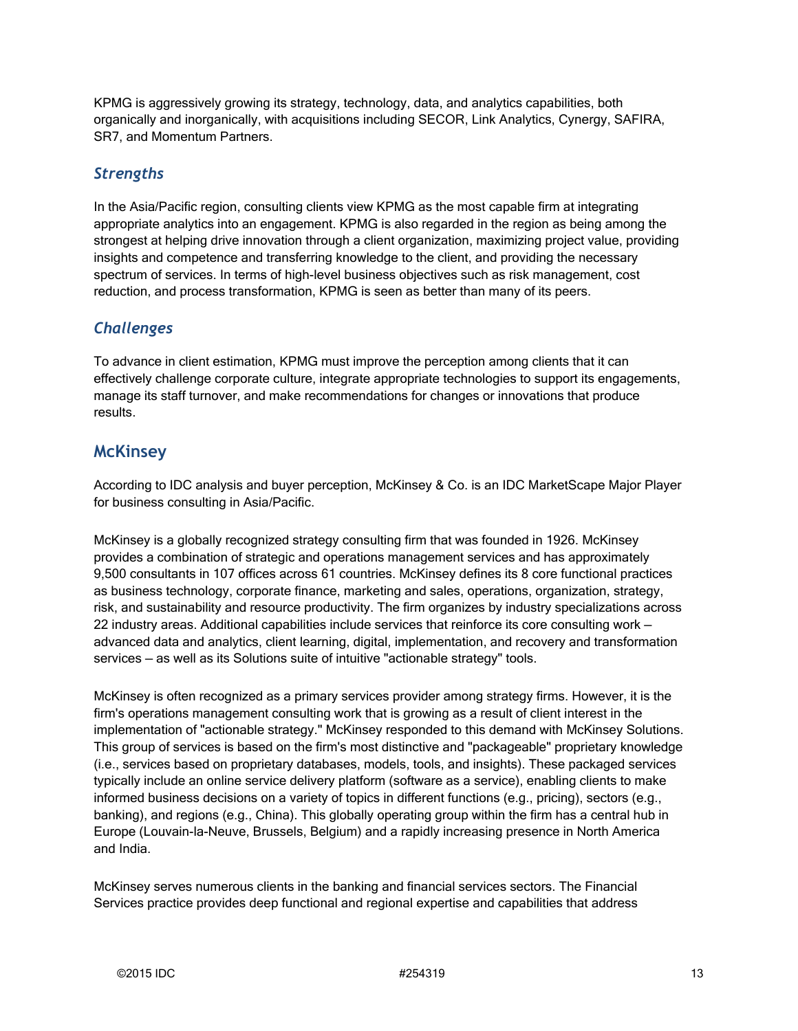KPMG is aggressively growing its strategy, technology, data, and analytics capabilities, both organically and inorganically, with acquisitions including SECOR, Link Analytics, Cynergy, SAFIRA, SR7, and Momentum Partners.

#### *Strengths*

In the Asia/Pacific region, consulting clients view KPMG as the most capable firm at integrating appropriate analytics into an engagement. KPMG is also regarded in the region as being among the strongest at helping drive innovation through a client organization, maximizing project value, providing insights and competence and transferring knowledge to the client, and providing the necessary spectrum of services. In terms of high-level business objectives such as risk management, cost reduction, and process transformation, KPMG is seen as better than many of its peers.

#### *Challenges*

To advance in client estimation, KPMG must improve the perception among clients that it can effectively challenge corporate culture, integrate appropriate technologies to support its engagements, manage its staff turnover, and make recommendations for changes or innovations that produce results.

#### **McKinsey**

According to IDC analysis and buyer perception, McKinsey & Co. is an IDC MarketScape Major Player for business consulting in Asia/Pacific.

McKinsey is a globally recognized strategy consulting firm that was founded in 1926. McKinsey provides a combination of strategic and operations management services and has approximately 9,500 consultants in 107 offices across 61 countries. McKinsey defines its 8 core functional practices as business technology, corporate finance, marketing and sales, operations, organization, strategy, risk, and sustainability and resource productivity. The firm organizes by industry specializations across 22 industry areas. Additional capabilities include services that reinforce its core consulting work advanced data and analytics, client learning, digital, implementation, and recovery and transformation services — as well as its Solutions suite of intuitive "actionable strategy" tools.

McKinsey is often recognized as a primary services provider among strategy firms. However, it is the firm's operations management consulting work that is growing as a result of client interest in the implementation of "actionable strategy." McKinsey responded to this demand with McKinsey Solutions. This group of services is based on the firm's most distinctive and "packageable" proprietary knowledge (i.e., services based on proprietary databases, models, tools, and insights). These packaged services typically include an online service delivery platform (software as a service), enabling clients to make informed business decisions on a variety of topics in different functions (e.g., pricing), sectors (e.g., banking), and regions (e.g., China). This globally operating group within the firm has a central hub in Europe (Louvain-la-Neuve, Brussels, Belgium) and a rapidly increasing presence in North America and India.

McKinsey serves numerous clients in the banking and financial services sectors. The Financial Services practice provides deep functional and regional expertise and capabilities that address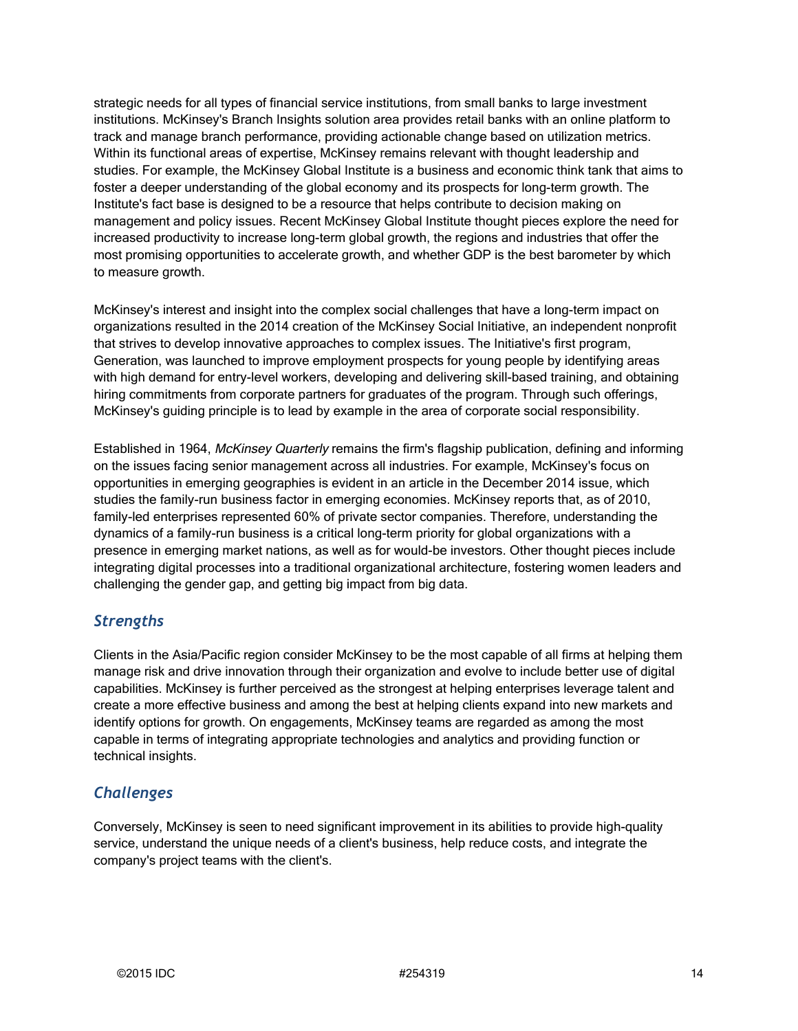strategic needs for all types of financial service institutions, from small banks to large investment institutions. McKinsey's Branch Insights solution area provides retail banks with an online platform to track and manage branch performance, providing actionable change based on utilization metrics. Within its functional areas of expertise, McKinsey remains relevant with thought leadership and studies. For example, the McKinsey Global Institute is a business and economic think tank that aims to foster a deeper understanding of the global economy and its prospects for long-term growth. The Institute's fact base is designed to be a resource that helps contribute to decision making on management and policy issues. Recent McKinsey Global Institute thought pieces explore the need for increased productivity to increase long-term global growth, the regions and industries that offer the most promising opportunities to accelerate growth, and whether GDP is the best barometer by which to measure growth.

McKinsey's interest and insight into the complex social challenges that have a long-term impact on organizations resulted in the 2014 creation of the McKinsey Social Initiative, an independent nonprofit that strives to develop innovative approaches to complex issues. The Initiative's first program, Generation, was launched to improve employment prospects for young people by identifying areas with high demand for entry-level workers, developing and delivering skill-based training, and obtaining hiring commitments from corporate partners for graduates of the program. Through such offerings, McKinsey's guiding principle is to lead by example in the area of corporate social responsibility.

Established in 1964, McKinsey Quarterly remains the firm's flagship publication, defining and informing on the issues facing senior management across all industries. For example, McKinsey's focus on opportunities in emerging geographies is evident in an article in the December 2014 issue, which studies the family-run business factor in emerging economies. McKinsey reports that, as of 2010, family-led enterprises represented 60% of private sector companies. Therefore, understanding the dynamics of a family-run business is a critical long-term priority for global organizations with a presence in emerging market nations, as well as for would-be investors. Other thought pieces include integrating digital processes into a traditional organizational architecture, fostering women leaders and challenging the gender gap, and getting big impact from big data.

#### *Strengths*

Clients in the Asia/Pacific region consider McKinsey to be the most capable of all firms at helping them manage risk and drive innovation through their organization and evolve to include better use of digital capabilities. McKinsey is further perceived as the strongest at helping enterprises leverage talent and create a more effective business and among the best at helping clients expand into new markets and identify options for growth. On engagements, McKinsey teams are regarded as among the most capable in terms of integrating appropriate technologies and analytics and providing function or technical insights.

#### *Challenges*

Conversely, McKinsey is seen to need significant improvement in its abilities to provide high-quality service, understand the unique needs of a client's business, help reduce costs, and integrate the company's project teams with the client's.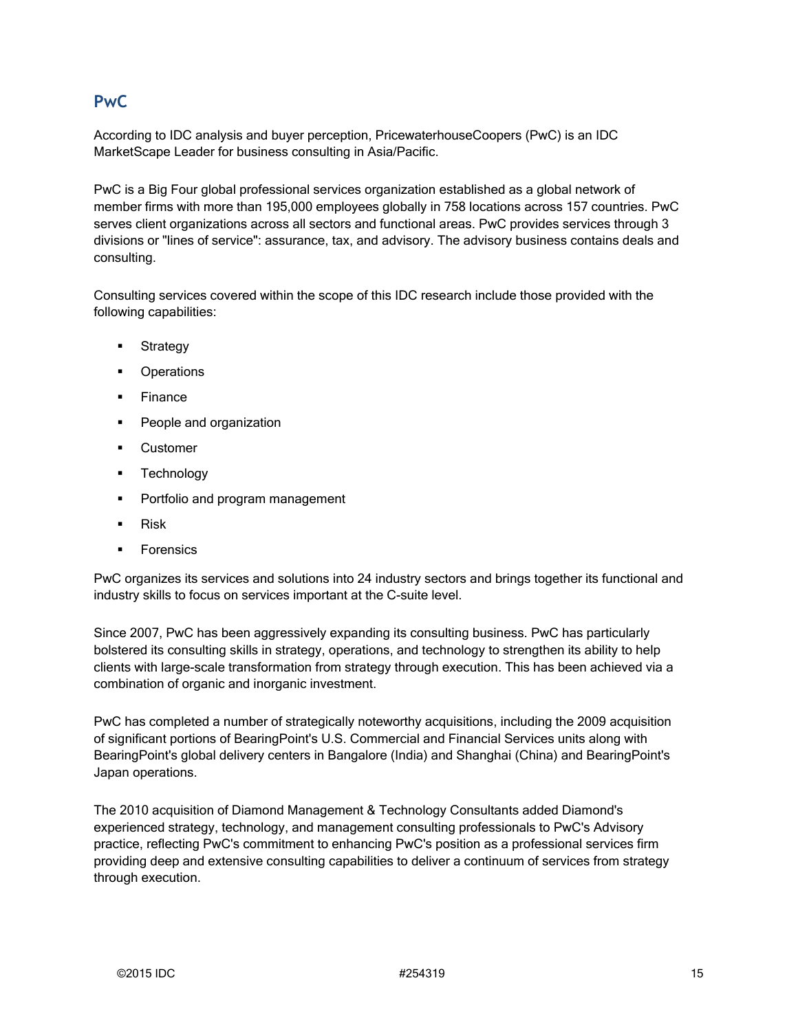#### **PwC**

According to IDC analysis and buyer perception, PricewaterhouseCoopers (PwC) is an IDC MarketScape Leader for business consulting in Asia/Pacific.

PwC is a Big Four global professional services organization established as a global network of member firms with more than 195,000 employees globally in 758 locations across 157 countries. PwC serves client organizations across all sectors and functional areas. PwC provides services through 3 divisions or "lines of service": assurance, tax, and advisory. The advisory business contains deals and consulting.

Consulting services covered within the scope of this IDC research include those provided with the following capabilities:

- **Strategy**
- **Operations**
- $F$ inance
- **People and organization**
- **Customer**
- **Technology**
- **Portfolio and program management**
- $Risk$
- **Forensics**

PwC organizes its services and solutions into 24 industry sectors and brings together its functional and industry skills to focus on services important at the C-suite level.

Since 2007, PwC has been aggressively expanding its consulting business. PwC has particularly bolstered its consulting skills in strategy, operations, and technology to strengthen its ability to help clients with large-scale transformation from strategy through execution. This has been achieved via a combination of organic and inorganic investment.

PwC has completed a number of strategically noteworthy acquisitions, including the 2009 acquisition of significant portions of BearingPoint's U.S. Commercial and Financial Services units along with BearingPoint's global delivery centers in Bangalore (India) and Shanghai (China) and BearingPoint's Japan operations.

The 2010 acquisition of Diamond Management & Technology Consultants added Diamond's experienced strategy, technology, and management consulting professionals to PwC's Advisory practice, reflecting PwC's commitment to enhancing PwC's position as a professional services firm providing deep and extensive consulting capabilities to deliver a continuum of services from strategy through execution.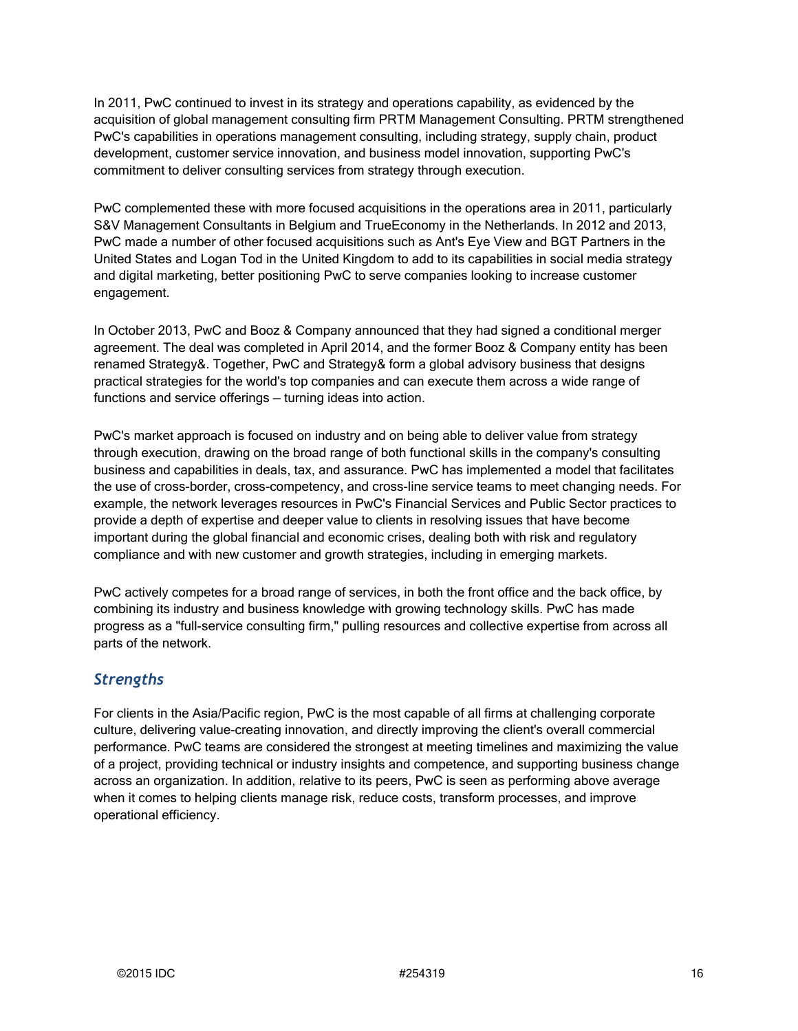In 2011, PwC continued to invest in its strategy and operations capability, as evidenced by the acquisition of global management consulting firm PRTM Management Consulting. PRTM strengthened PwC's capabilities in operations management consulting, including strategy, supply chain, product development, customer service innovation, and business model innovation, supporting PwC's commitment to deliver consulting services from strategy through execution.

PwC complemented these with more focused acquisitions in the operations area in 2011, particularly S&V Management Consultants in Belgium and TrueEconomy in the Netherlands. In 2012 and 2013, PwC made a number of other focused acquisitions such as Ant's Eye View and BGT Partners in the United States and Logan Tod in the United Kingdom to add to its capabilities in social media strategy and digital marketing, better positioning PwC to serve companies looking to increase customer engagement.

In October 2013, PwC and Booz & Company announced that they had signed a conditional merger agreement. The deal was completed in April 2014, and the former Booz & Company entity has been renamed Strategy&. Together, PwC and Strategy& form a global advisory business that designs practical strategies for the world's top companies and can execute them across a wide range of functions and service offerings — turning ideas into action.

PwC's market approach is focused on industry and on being able to deliver value from strategy through execution, drawing on the broad range of both functional skills in the company's consulting business and capabilities in deals, tax, and assurance. PwC has implemented a model that facilitates the use of cross-border, cross-competency, and cross-line service teams to meet changing needs. For example, the network leverages resources in PwC's Financial Services and Public Sector practices to provide a depth of expertise and deeper value to clients in resolving issues that have become important during the global financial and economic crises, dealing both with risk and regulatory compliance and with new customer and growth strategies, including in emerging markets.

PwC actively competes for a broad range of services, in both the front office and the back office, by combining its industry and business knowledge with growing technology skills. PwC has made progress as a "full-service consulting firm," pulling resources and collective expertise from across all parts of the network.

### *Strengths*

For clients in the Asia/Pacific region, PwC is the most capable of all firms at challenging corporate culture, delivering value-creating innovation, and directly improving the client's overall commercial performance. PwC teams are considered the strongest at meeting timelines and maximizing the value of a project, providing technical or industry insights and competence, and supporting business change across an organization. In addition, relative to its peers, PwC is seen as performing above average when it comes to helping clients manage risk, reduce costs, transform processes, and improve operational efficiency.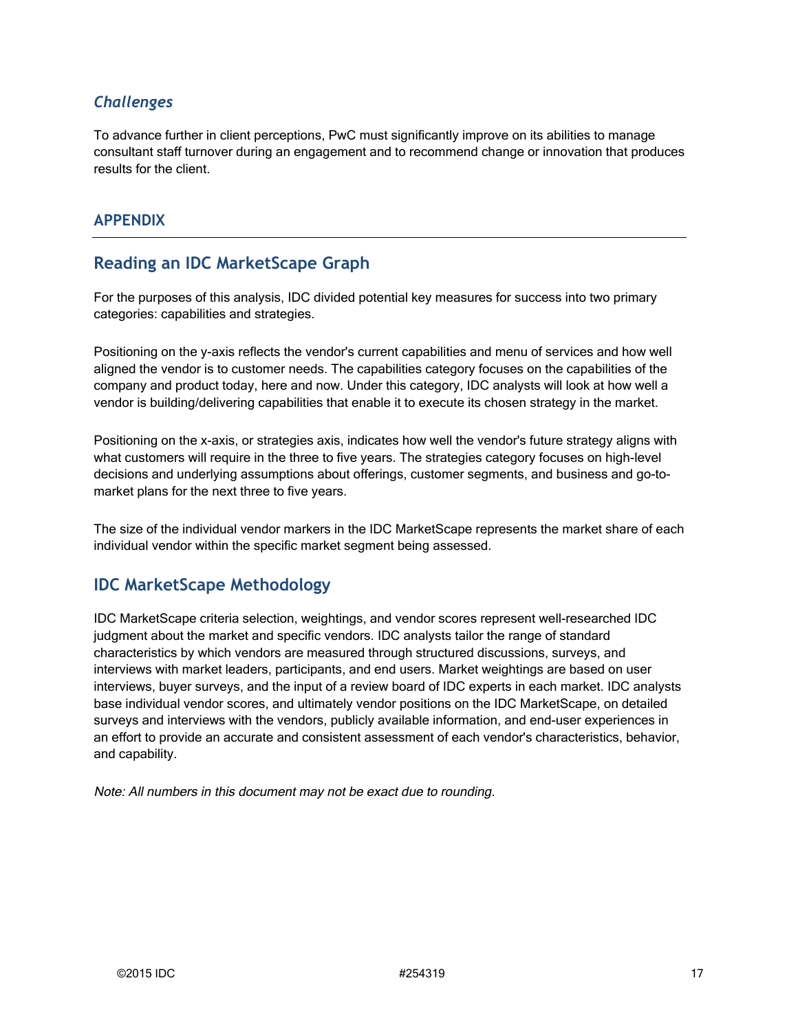#### *Challenges*

To advance further in client perceptions, PwC must significantly improve on its abilities to manage consultant staff turnover during an engagement and to recommend change or innovation that produces results for the client.

#### **APPENDIX**

### **Reading an IDC MarketScape Graph**

For the purposes of this analysis, IDC divided potential key measures for success into two primary categories: capabilities and strategies.

Positioning on the y-axis reflects the vendor's current capabilities and menu of services and how well aligned the vendor is to customer needs. The capabilities category focuses on the capabilities of the company and product today, here and now. Under this category, IDC analysts will look at how well a vendor is building/delivering capabilities that enable it to execute its chosen strategy in the market.

Positioning on the x-axis, or strategies axis, indicates how well the vendor's future strategy aligns with what customers will require in the three to five years. The strategies category focuses on high-level decisions and underlying assumptions about offerings, customer segments, and business and go-tomarket plans for the next three to five years.

The size of the individual vendor markers in the IDC MarketScape represents the market share of each individual vendor within the specific market segment being assessed.

### **IDC MarketScape Methodology**

IDC MarketScape criteria selection, weightings, and vendor scores represent well-researched IDC judgment about the market and specific vendors. IDC analysts tailor the range of standard characteristics by which vendors are measured through structured discussions, surveys, and interviews with market leaders, participants, and end users. Market weightings are based on user interviews, buyer surveys, and the input of a review board of IDC experts in each market. IDC analysts base individual vendor scores, and ultimately vendor positions on the IDC MarketScape, on detailed surveys and interviews with the vendors, publicly available information, and end-user experiences in an effort to provide an accurate and consistent assessment of each vendor's characteristics, behavior, and capability.

Note: All numbers in this document may not be exact due to rounding.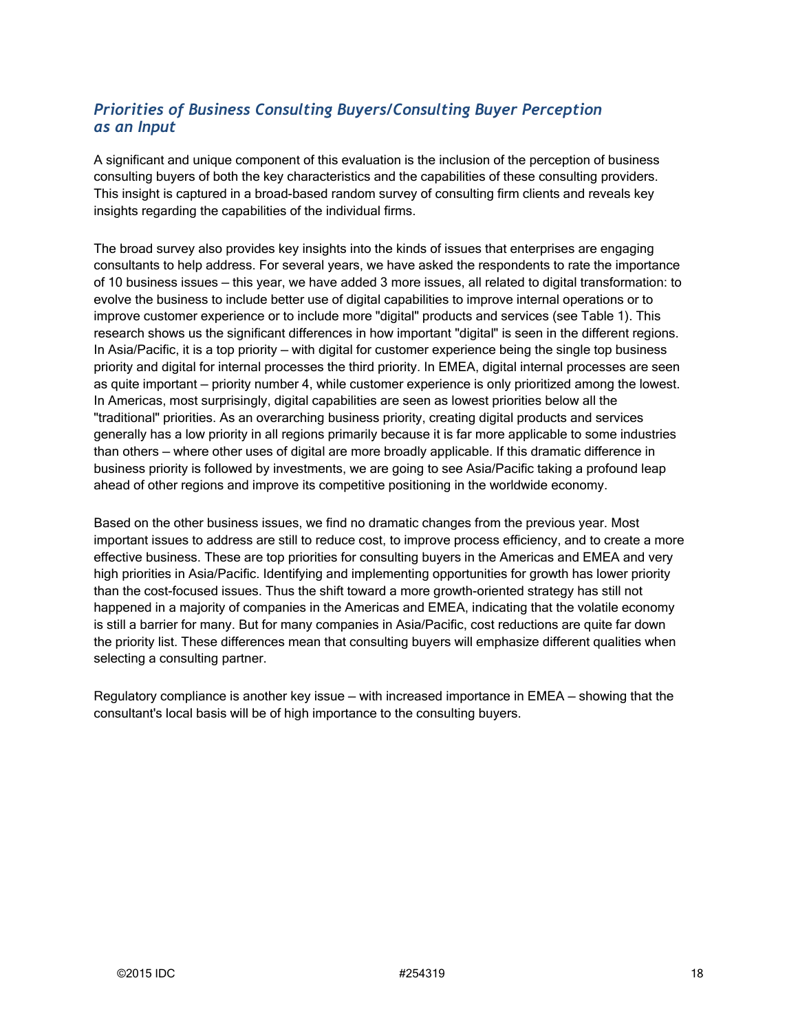#### *Priorities of Business Consulting Buyers/Consulting Buyer Perception as an Input*

A significant and unique component of this evaluation is the inclusion of the perception of business consulting buyers of both the key characteristics and the capabilities of these consulting providers. This insight is captured in a broad-based random survey of consulting firm clients and reveals key insights regarding the capabilities of the individual firms.

The broad survey also provides key insights into the kinds of issues that enterprises are engaging consultants to help address. For several years, we have asked the respondents to rate the importance of 10 business issues — this year, we have added 3 more issues, all related to digital transformation: to evolve the business to include better use of digital capabilities to improve internal operations or to improve customer experience or to include more "digital" products and services (see Table 1). This research shows us the significant differences in how important "digital" is seen in the different regions. In Asia/Pacific, it is a top priority — with digital for customer experience being the single top business priority and digital for internal processes the third priority. In EMEA, digital internal processes are seen as quite important — priority number 4, while customer experience is only prioritized among the lowest. In Americas, most surprisingly, digital capabilities are seen as lowest priorities below all the "traditional" priorities. As an overarching business priority, creating digital products and services generally has a low priority in all regions primarily because it is far more applicable to some industries than others — where other uses of digital are more broadly applicable. If this dramatic difference in business priority is followed by investments, we are going to see Asia/Pacific taking a profound leap ahead of other regions and improve its competitive positioning in the worldwide economy.

Based on the other business issues, we find no dramatic changes from the previous year. Most important issues to address are still to reduce cost, to improve process efficiency, and to create a more effective business. These are top priorities for consulting buyers in the Americas and EMEA and very high priorities in Asia/Pacific. Identifying and implementing opportunities for growth has lower priority than the cost-focused issues. Thus the shift toward a more growth-oriented strategy has still not happened in a majority of companies in the Americas and EMEA, indicating that the volatile economy is still a barrier for many. But for many companies in Asia/Pacific, cost reductions are quite far down the priority list. These differences mean that consulting buyers will emphasize different qualities when selecting a consulting partner.

Regulatory compliance is another key issue — with increased importance in EMEA — showing that the consultant's local basis will be of high importance to the consulting buyers.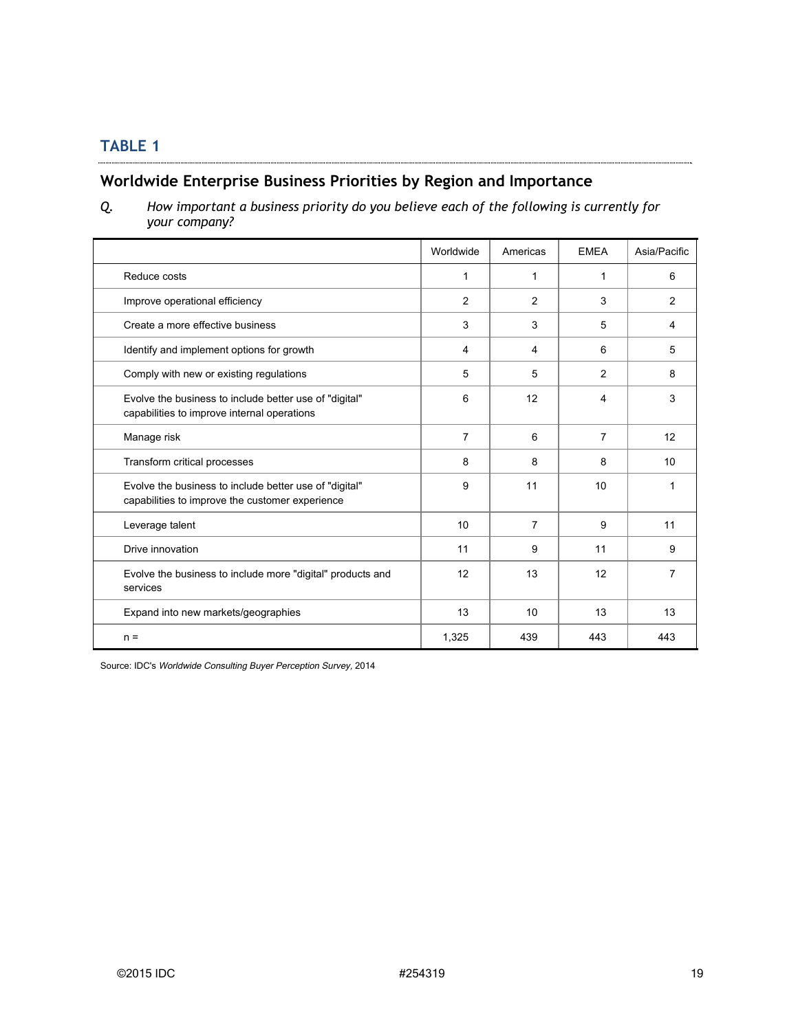#### **Worldwide Enterprise Business Priorities by Region and Importance**

*Q. How important a business priority do you believe each of the following is currently for your company?*

|                                                                                                           | Worldwide      | Americas       | <b>EMEA</b>    | Asia/Pacific   |
|-----------------------------------------------------------------------------------------------------------|----------------|----------------|----------------|----------------|
| Reduce costs                                                                                              | 1              | $\mathbf 1$    | 1              | 6              |
| Improve operational efficiency                                                                            | $\overline{c}$ | $\overline{c}$ | 3              | $\overline{2}$ |
| Create a more effective business                                                                          | 3              | 3              | 5              | 4              |
| Identify and implement options for growth                                                                 | 4              | 4              | 6              | 5              |
| Comply with new or existing regulations                                                                   | 5              | 5              | 2              | 8              |
| Evolve the business to include better use of "digital"<br>capabilities to improve internal operations     | 6              | 12             | 4              | 3              |
| Manage risk                                                                                               | $\overline{7}$ | 6              | $\overline{7}$ | 12             |
| Transform critical processes                                                                              | 8              | 8              | 8              | 10             |
| Evolve the business to include better use of "digital"<br>capabilities to improve the customer experience | 9              | 11             | 10             | 1              |
| Leverage talent                                                                                           | 10             | 7              | 9              | 11             |
| Drive innovation                                                                                          | 11             | 9              | 11             | 9              |
| Evolve the business to include more "digital" products and<br>services                                    | 12             | 13             | 12             | 7              |
| Expand into new markets/geographies                                                                       | 13             | 10             | 13             | 13             |
| $n =$                                                                                                     | 1,325          | 439            | 443            | 443            |

Source: IDC's Worldwide Consulting Buyer Perception Survey, 2014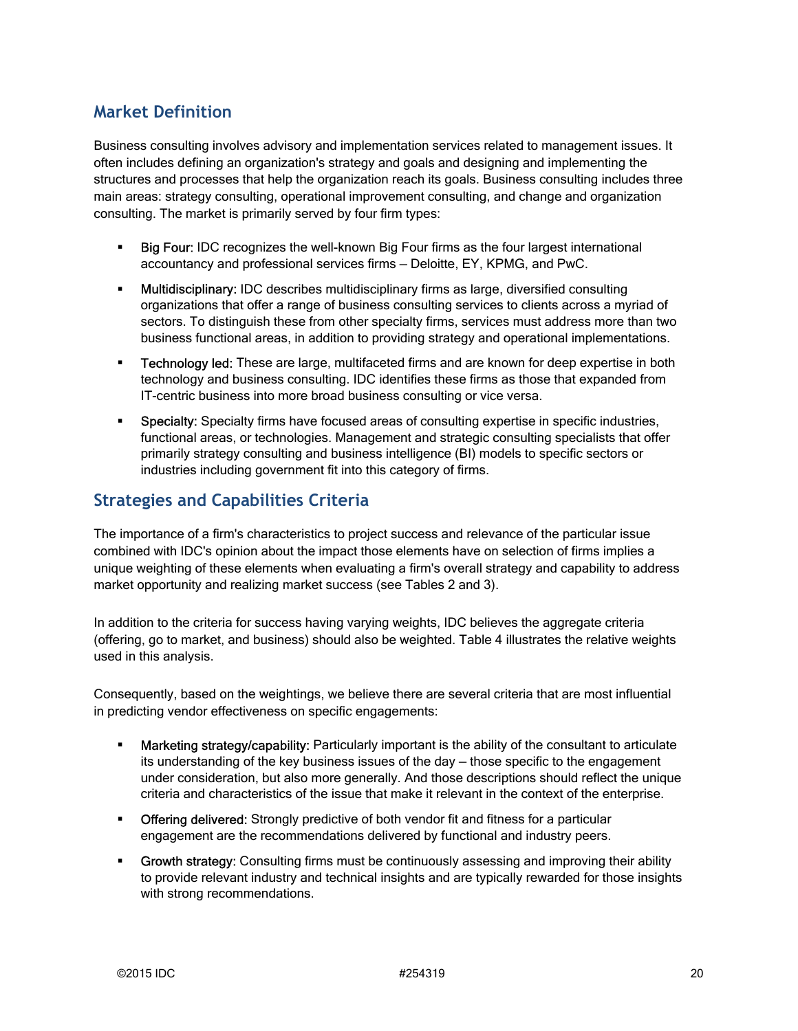## **Market Definition**

Business consulting involves advisory and implementation services related to management issues. It often includes defining an organization's strategy and goals and designing and implementing the structures and processes that help the organization reach its goals. Business consulting includes three main areas: strategy consulting, operational improvement consulting, and change and organization consulting. The market is primarily served by four firm types:

- Big Four: IDC recognizes the well-known Big Four firms as the four largest international accountancy and professional services firms — Deloitte, EY, KPMG, and PwC.
- **Multidisciplinary:** IDC describes multidisciplinary firms as large, diversified consulting organizations that offer a range of business consulting services to clients across a myriad of sectors. To distinguish these from other specialty firms, services must address more than two business functional areas, in addition to providing strategy and operational implementations.
- **Technology led:** These are large, multifaceted firms and are known for deep expertise in both technology and business consulting. IDC identifies these firms as those that expanded from IT-centric business into more broad business consulting or vice versa.
- **Specialty:** Specialty firms have focused areas of consulting expertise in specific industries, functional areas, or technologies. Management and strategic consulting specialists that offer primarily strategy consulting and business intelligence (BI) models to specific sectors or industries including government fit into this category of firms.

### **Strategies and Capabilities Criteria**

The importance of a firm's characteristics to project success and relevance of the particular issue combined with IDC's opinion about the impact those elements have on selection of firms implies a unique weighting of these elements when evaluating a firm's overall strategy and capability to address market opportunity and realizing market success (see Tables 2 and 3).

In addition to the criteria for success having varying weights, IDC believes the aggregate criteria (offering, go to market, and business) should also be weighted. Table 4 illustrates the relative weights used in this analysis.

Consequently, based on the weightings, we believe there are several criteria that are most influential in predicting vendor effectiveness on specific engagements:

- **Marketing strategy/capability:** Particularly important is the ability of the consultant to articulate its understanding of the key business issues of the day — those specific to the engagement under consideration, but also more generally. And those descriptions should reflect the unique criteria and characteristics of the issue that make it relevant in the context of the enterprise.
- **-** Offering delivered: Strongly predictive of both vendor fit and fitness for a particular engagement are the recommendations delivered by functional and industry peers.
- **Growth strategy:** Consulting firms must be continuously assessing and improving their ability to provide relevant industry and technical insights and are typically rewarded for those insights with strong recommendations.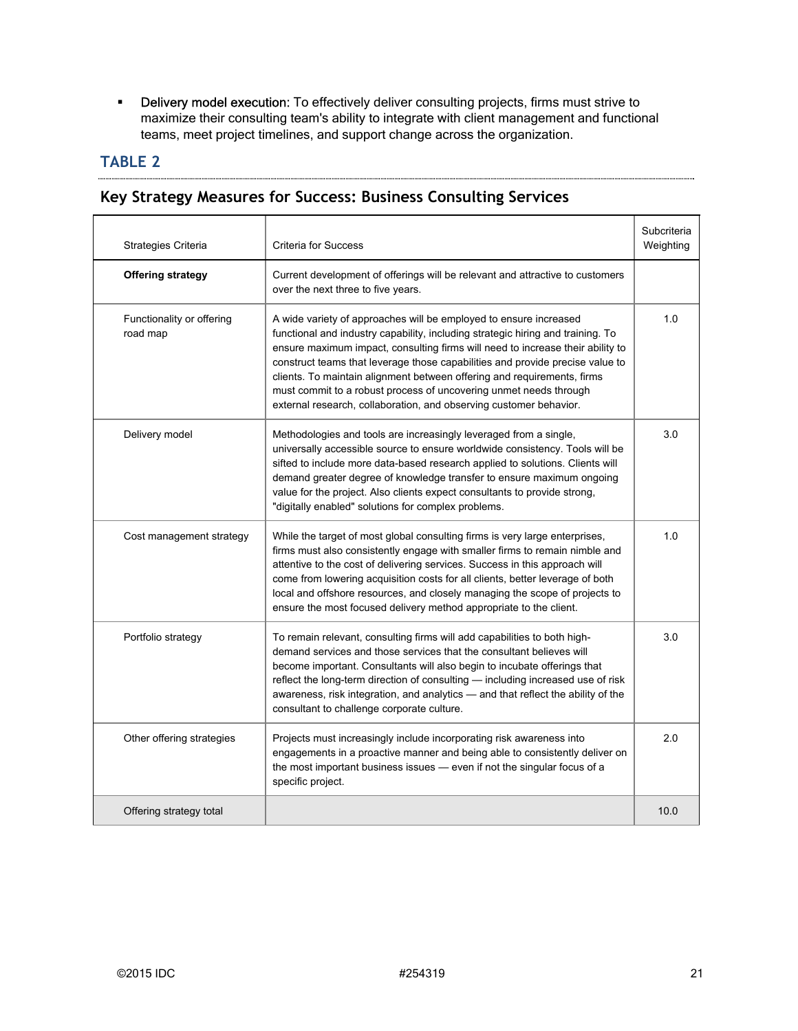**-** Delivery model execution: To effectively deliver consulting projects, firms must strive to maximize their consulting team's ability to integrate with client management and functional teams, meet project timelines, and support change across the organization.

## **TABLE 2**

#### **Key Strategy Measures for Success: Business Consulting Services**

| Strategies Criteria                   | <b>Criteria for Success</b>                                                                                                                                                                                                                                                                                                                                                                                                                                                                                                                   | Subcriteria<br>Weighting |
|---------------------------------------|-----------------------------------------------------------------------------------------------------------------------------------------------------------------------------------------------------------------------------------------------------------------------------------------------------------------------------------------------------------------------------------------------------------------------------------------------------------------------------------------------------------------------------------------------|--------------------------|
| <b>Offering strategy</b>              | Current development of offerings will be relevant and attractive to customers<br>over the next three to five years.                                                                                                                                                                                                                                                                                                                                                                                                                           |                          |
| Functionality or offering<br>road map | A wide variety of approaches will be employed to ensure increased<br>functional and industry capability, including strategic hiring and training. To<br>ensure maximum impact, consulting firms will need to increase their ability to<br>construct teams that leverage those capabilities and provide precise value to<br>clients. To maintain alignment between offering and requirements, firms<br>must commit to a robust process of uncovering unmet needs through<br>external research, collaboration, and observing customer behavior. | 1.0                      |
| Delivery model                        | Methodologies and tools are increasingly leveraged from a single,<br>universally accessible source to ensure worldwide consistency. Tools will be<br>sifted to include more data-based research applied to solutions. Clients will<br>demand greater degree of knowledge transfer to ensure maximum ongoing<br>value for the project. Also clients expect consultants to provide strong,<br>"digitally enabled" solutions for complex problems.                                                                                               | 3.0                      |
| Cost management strategy              | While the target of most global consulting firms is very large enterprises,<br>firms must also consistently engage with smaller firms to remain nimble and<br>attentive to the cost of delivering services. Success in this approach will<br>come from lowering acquisition costs for all clients, better leverage of both<br>local and offshore resources, and closely managing the scope of projects to<br>ensure the most focused delivery method appropriate to the client.                                                               | 1.0                      |
| Portfolio strategy                    | To remain relevant, consulting firms will add capabilities to both high-<br>demand services and those services that the consultant believes will<br>become important. Consultants will also begin to incubate offerings that<br>reflect the long-term direction of consulting — including increased use of risk<br>awareness, risk integration, and analytics — and that reflect the ability of the<br>consultant to challenge corporate culture.                                                                                             | 3.0                      |
| Other offering strategies             | Projects must increasingly include incorporating risk awareness into<br>engagements in a proactive manner and being able to consistently deliver on<br>the most important business issues — even if not the singular focus of a<br>specific project.                                                                                                                                                                                                                                                                                          | 2.0                      |
| Offering strategy total               |                                                                                                                                                                                                                                                                                                                                                                                                                                                                                                                                               | 10.0                     |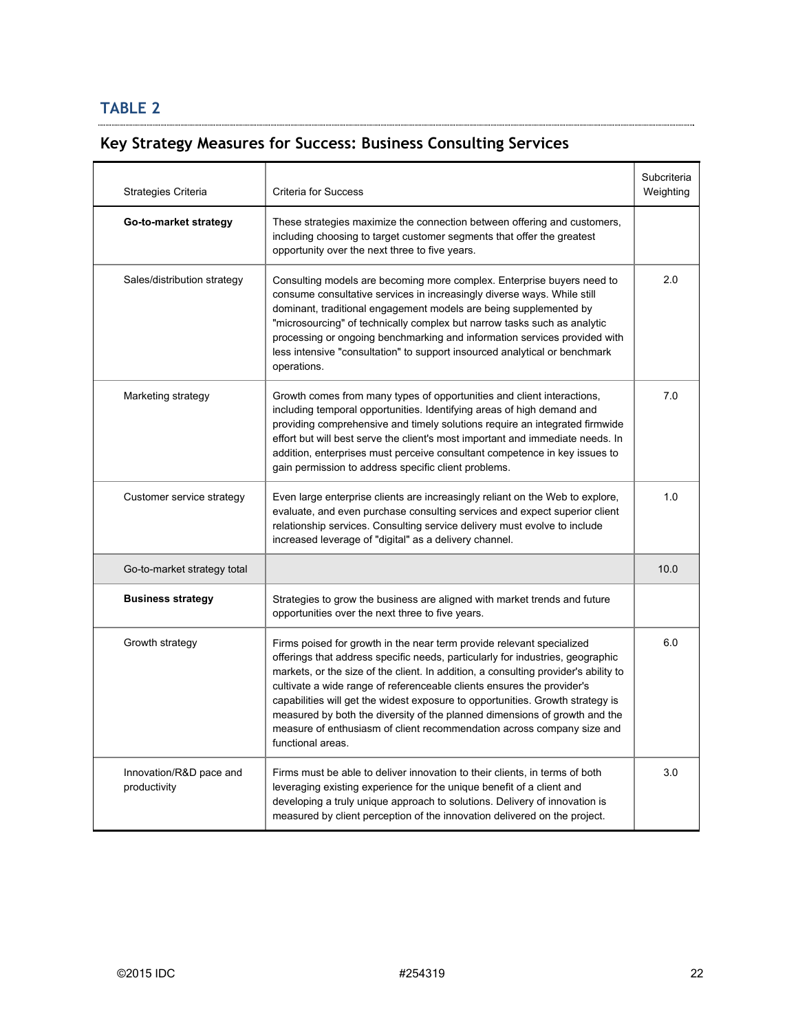## **Key Strategy Measures for Success: Business Consulting Services**

| Strategies Criteria                     | <b>Criteria for Success</b>                                                                                                                                                                                                                                                                                                                                                                                                                                                                                                                                                             | Subcriteria<br>Weighting |
|-----------------------------------------|-----------------------------------------------------------------------------------------------------------------------------------------------------------------------------------------------------------------------------------------------------------------------------------------------------------------------------------------------------------------------------------------------------------------------------------------------------------------------------------------------------------------------------------------------------------------------------------------|--------------------------|
| Go-to-market strategy                   | These strategies maximize the connection between offering and customers,<br>including choosing to target customer segments that offer the greatest<br>opportunity over the next three to five years.                                                                                                                                                                                                                                                                                                                                                                                    |                          |
| Sales/distribution strategy             | Consulting models are becoming more complex. Enterprise buyers need to<br>consume consultative services in increasingly diverse ways. While still<br>dominant, traditional engagement models are being supplemented by<br>"microsourcing" of technically complex but narrow tasks such as analytic<br>processing or ongoing benchmarking and information services provided with<br>less intensive "consultation" to support insourced analytical or benchmark<br>operations.                                                                                                            | 2.0                      |
| Marketing strategy                      | Growth comes from many types of opportunities and client interactions,<br>including temporal opportunities. Identifying areas of high demand and<br>providing comprehensive and timely solutions require an integrated firmwide<br>effort but will best serve the client's most important and immediate needs. In<br>addition, enterprises must perceive consultant competence in key issues to<br>gain permission to address specific client problems.                                                                                                                                 | 7.0                      |
| Customer service strategy               | Even large enterprise clients are increasingly reliant on the Web to explore,<br>evaluate, and even purchase consulting services and expect superior client<br>relationship services. Consulting service delivery must evolve to include<br>increased leverage of "digital" as a delivery channel.                                                                                                                                                                                                                                                                                      | 1.0                      |
| Go-to-market strategy total             |                                                                                                                                                                                                                                                                                                                                                                                                                                                                                                                                                                                         | 10.0                     |
| <b>Business strategy</b>                | Strategies to grow the business are aligned with market trends and future<br>opportunities over the next three to five years.                                                                                                                                                                                                                                                                                                                                                                                                                                                           |                          |
| Growth strategy                         | Firms poised for growth in the near term provide relevant specialized<br>offerings that address specific needs, particularly for industries, geographic<br>markets, or the size of the client. In addition, a consulting provider's ability to<br>cultivate a wide range of referenceable clients ensures the provider's<br>capabilities will get the widest exposure to opportunities. Growth strategy is<br>measured by both the diversity of the planned dimensions of growth and the<br>measure of enthusiasm of client recommendation across company size and<br>functional areas. | 6.0                      |
| Innovation/R&D pace and<br>productivity | Firms must be able to deliver innovation to their clients, in terms of both<br>leveraging existing experience for the unique benefit of a client and<br>developing a truly unique approach to solutions. Delivery of innovation is<br>measured by client perception of the innovation delivered on the project.                                                                                                                                                                                                                                                                         | 3.0                      |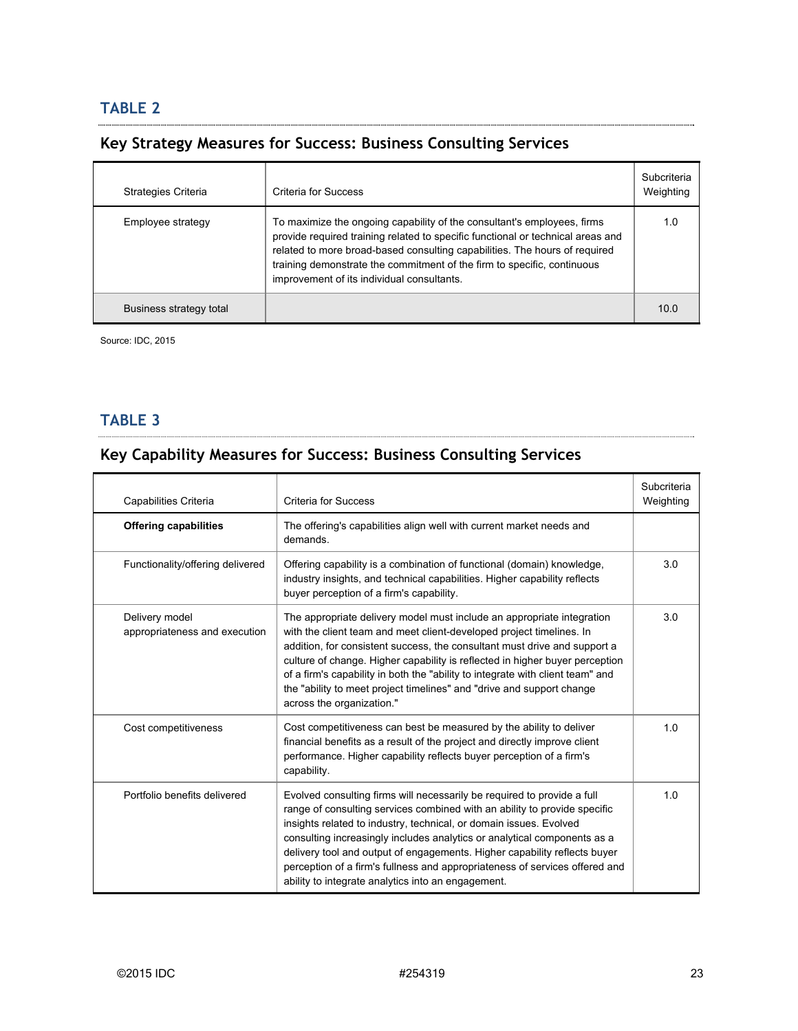### **Key Strategy Measures for Success: Business Consulting Services**

| Strategies Criteria     | Criteria for Success                                                                                                                                                                                                                                                                                                                                              | Subcriteria<br>Weighting |
|-------------------------|-------------------------------------------------------------------------------------------------------------------------------------------------------------------------------------------------------------------------------------------------------------------------------------------------------------------------------------------------------------------|--------------------------|
| Employee strategy       | To maximize the ongoing capability of the consultant's employees, firms<br>provide required training related to specific functional or technical areas and<br>related to more broad-based consulting capabilities. The hours of required<br>training demonstrate the commitment of the firm to specific, continuous<br>improvement of its individual consultants. | 1 O                      |
| Business strategy total |                                                                                                                                                                                                                                                                                                                                                                   | 10 C                     |

Source: IDC, 2015

#### **TABLE 3**

## **Key Capability Measures for Success: Business Consulting Services**

| Capabilities Criteria                           | <b>Criteria for Success</b>                                                                                                                                                                                                                                                                                                                                                                                                                                                                                              | Subcriteria<br>Weighting |
|-------------------------------------------------|--------------------------------------------------------------------------------------------------------------------------------------------------------------------------------------------------------------------------------------------------------------------------------------------------------------------------------------------------------------------------------------------------------------------------------------------------------------------------------------------------------------------------|--------------------------|
| <b>Offering capabilities</b>                    | The offering's capabilities align well with current market needs and<br>demands.                                                                                                                                                                                                                                                                                                                                                                                                                                         |                          |
| Functionality/offering delivered                | Offering capability is a combination of functional (domain) knowledge,<br>industry insights, and technical capabilities. Higher capability reflects<br>buyer perception of a firm's capability.                                                                                                                                                                                                                                                                                                                          | 3.0                      |
| Delivery model<br>appropriateness and execution | The appropriate delivery model must include an appropriate integration<br>with the client team and meet client-developed project timelines. In<br>addition, for consistent success, the consultant must drive and support a<br>culture of change. Higher capability is reflected in higher buyer perception<br>of a firm's capability in both the "ability to integrate with client team" and<br>the "ability to meet project timelines" and "drive and support change<br>across the organization."                      | 3.0                      |
| Cost competitiveness                            | Cost competitiveness can best be measured by the ability to deliver<br>financial benefits as a result of the project and directly improve client<br>performance. Higher capability reflects buyer perception of a firm's<br>capability.                                                                                                                                                                                                                                                                                  | 1.0                      |
| Portfolio benefits delivered                    | Evolved consulting firms will necessarily be required to provide a full<br>range of consulting services combined with an ability to provide specific<br>insights related to industry, technical, or domain issues. Evolved<br>consulting increasingly includes analytics or analytical components as a<br>delivery tool and output of engagements. Higher capability reflects buyer<br>perception of a firm's fullness and appropriateness of services offered and<br>ability to integrate analytics into an engagement. | 1.0                      |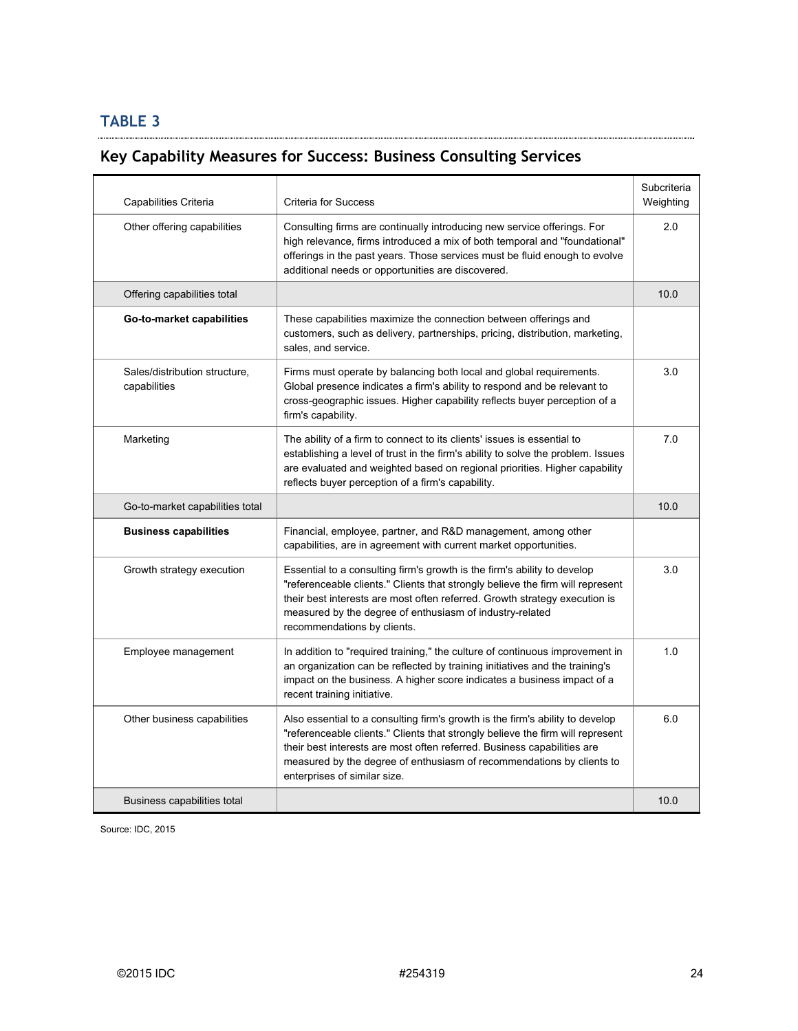#### **Key Capability Measures for Success: Business Consulting Services**

| Capabilities Criteria                         | <b>Criteria for Success</b>                                                                                                                                                                                                                                                                                                                         | Subcriteria<br>Weighting |
|-----------------------------------------------|-----------------------------------------------------------------------------------------------------------------------------------------------------------------------------------------------------------------------------------------------------------------------------------------------------------------------------------------------------|--------------------------|
| Other offering capabilities                   | Consulting firms are continually introducing new service offerings. For<br>high relevance, firms introduced a mix of both temporal and "foundational"<br>offerings in the past years. Those services must be fluid enough to evolve<br>additional needs or opportunities are discovered.                                                            | 2.0                      |
| Offering capabilities total                   |                                                                                                                                                                                                                                                                                                                                                     | 10.0                     |
| Go-to-market capabilities                     | These capabilities maximize the connection between offerings and<br>customers, such as delivery, partnerships, pricing, distribution, marketing,<br>sales, and service.                                                                                                                                                                             |                          |
| Sales/distribution structure,<br>capabilities | Firms must operate by balancing both local and global requirements.<br>Global presence indicates a firm's ability to respond and be relevant to<br>cross-geographic issues. Higher capability reflects buyer perception of a<br>firm's capability.                                                                                                  | 3.0                      |
| Marketing                                     | The ability of a firm to connect to its clients' issues is essential to<br>establishing a level of trust in the firm's ability to solve the problem. Issues<br>are evaluated and weighted based on regional priorities. Higher capability<br>reflects buyer perception of a firm's capability.                                                      | 7.0                      |
| Go-to-market capabilities total               |                                                                                                                                                                                                                                                                                                                                                     | 10.0                     |
| <b>Business capabilities</b>                  | Financial, employee, partner, and R&D management, among other<br>capabilities, are in agreement with current market opportunities.                                                                                                                                                                                                                  |                          |
| Growth strategy execution                     | Essential to a consulting firm's growth is the firm's ability to develop<br>"referenceable clients." Clients that strongly believe the firm will represent<br>their best interests are most often referred. Growth strategy execution is<br>measured by the degree of enthusiasm of industry-related<br>recommendations by clients.                 | 3.0                      |
| Employee management                           | In addition to "required training," the culture of continuous improvement in<br>an organization can be reflected by training initiatives and the training's<br>impact on the business. A higher score indicates a business impact of a<br>recent training initiative.                                                                               | 1.0                      |
| Other business capabilities                   | Also essential to a consulting firm's growth is the firm's ability to develop<br>"referenceable clients." Clients that strongly believe the firm will represent<br>their best interests are most often referred. Business capabilities are<br>measured by the degree of enthusiasm of recommendations by clients to<br>enterprises of similar size. | 6.0                      |
| Business capabilities total                   |                                                                                                                                                                                                                                                                                                                                                     | 10.0                     |

Source: IDC, 2015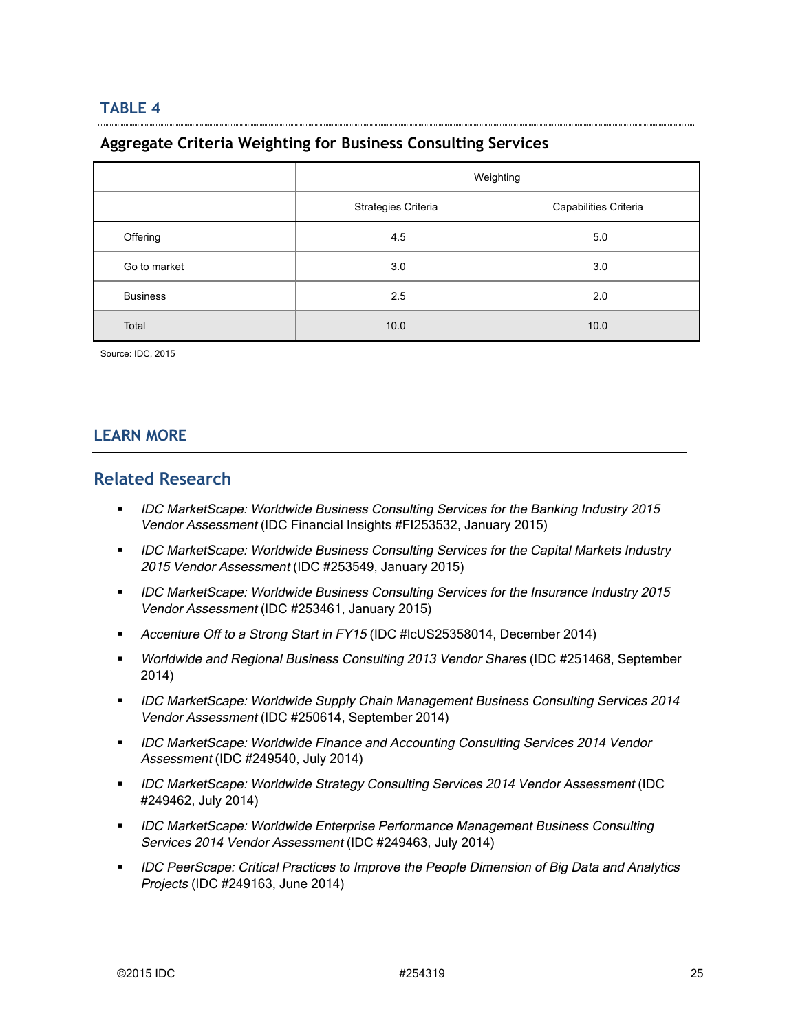#### **Aggregate Criteria Weighting for Business Consulting Services**

|                 | Weighting           |                       |
|-----------------|---------------------|-----------------------|
|                 | Strategies Criteria | Capabilities Criteria |
| Offering        | 4.5                 | 5.0                   |
| Go to market    | 3.0                 | 3.0                   |
| <b>Business</b> | 2.5                 | 2.0                   |
| Total           | 10.0                | 10.0                  |

Source: IDC, 2015

#### **LEARN MORE**

#### **Related Research**

- IDC MarketScape: Worldwide Business Consulting Services for the Banking Industry 2015 Vendor Assessment (IDC Financial Insights #FI253532, January 2015)
- **IDC MarketScape: Worldwide Business Consulting Services for the Capital Markets Industry** 2015 Vendor Assessment (IDC #253549, January 2015)
- **IDC MarketScape: Worldwide Business Consulting Services for the Insurance Industry 2015** Vendor Assessment (IDC #253461, January 2015)
- Accenture Off to a Strong Start in FY15 (IDC #IcUS25358014, December 2014)
- **Worldwide and Regional Business Consulting 2013 Vendor Shares (IDC #251468, September** 2014)
- **IDC MarketScape: Worldwide Supply Chain Management Business Consulting Services 2014** Vendor Assessment (IDC #250614, September 2014)
- **IDC MarketScape: Worldwide Finance and Accounting Consulting Services 2014 Vendor** Assessment (IDC #249540, July 2014)
- **IDC MarketScape: Worldwide Strategy Consulting Services 2014 Vendor Assessment (IDC** #249462, July 2014)
- **IDC MarketScape: Worldwide Enterprise Performance Management Business Consulting** Services 2014 Vendor Assessment (IDC #249463, July 2014)
- **IDC PeerScape: Critical Practices to Improve the People Dimension of Big Data and Analytics** Projects (IDC #249163, June 2014)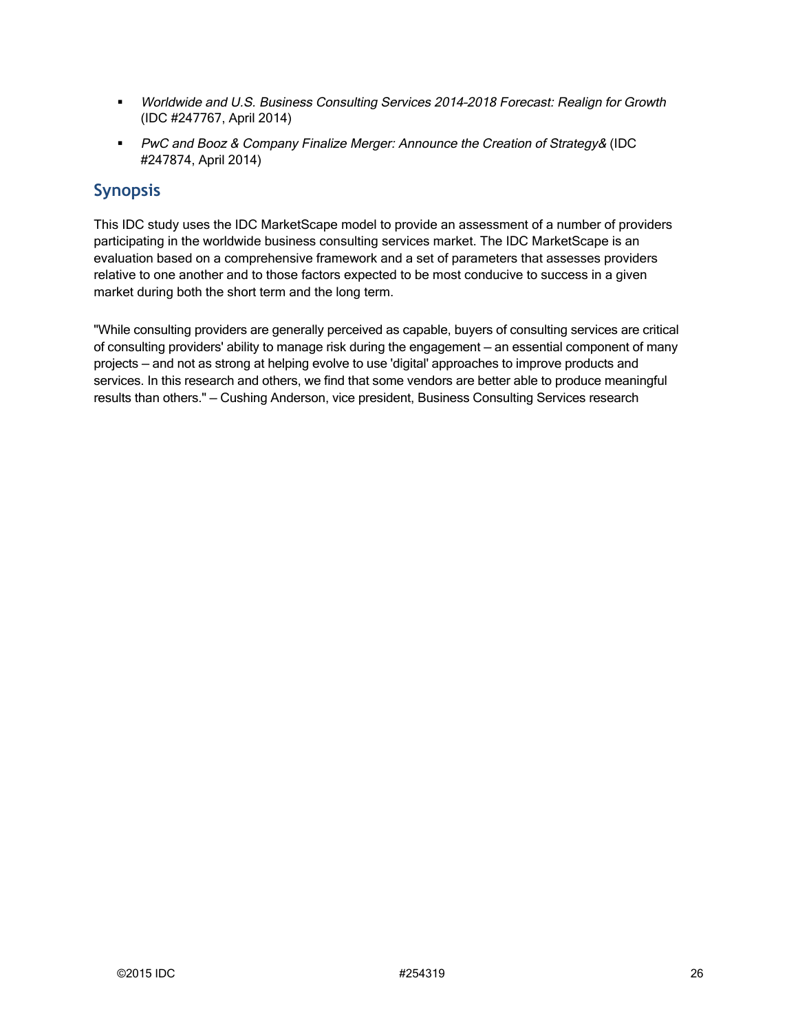- Worldwide and U.S. Business Consulting Services 2014–2018 Forecast: Realign for Growth (IDC #247767, April 2014)
- PwC and Booz & Company Finalize Merger: Announce the Creation of Strategy& (IDC #247874, April 2014)

## **Synopsis**

This IDC study uses the IDC MarketScape model to provide an assessment of a number of providers participating in the worldwide business consulting services market. The IDC MarketScape is an evaluation based on a comprehensive framework and a set of parameters that assesses providers relative to one another and to those factors expected to be most conducive to success in a given market during both the short term and the long term.

"While consulting providers are generally perceived as capable, buyers of consulting services are critical of consulting providers' ability to manage risk during the engagement — an essential component of many projects — and not as strong at helping evolve to use 'digital' approaches to improve products and services. In this research and others, we find that some vendors are better able to produce meaningful results than others." — Cushing Anderson, vice president, Business Consulting Services research